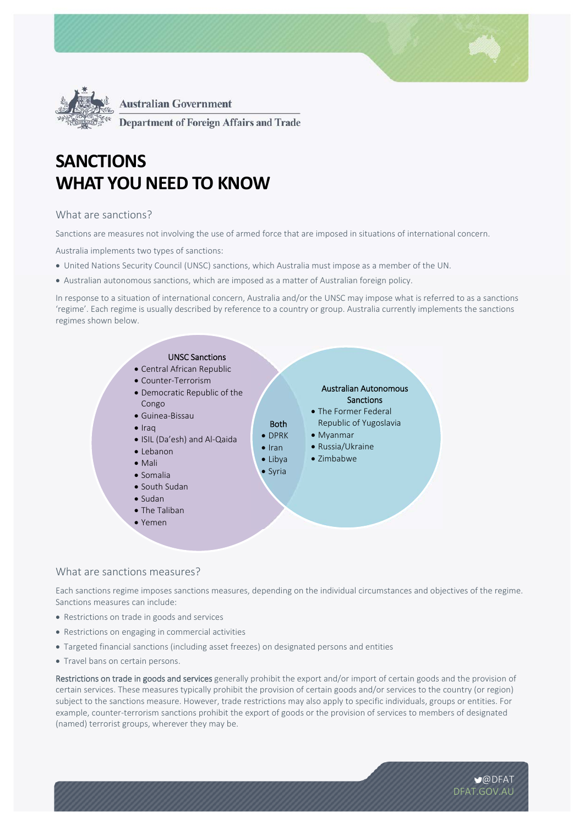



**Department of Foreign Affairs and Trade** 

# **SANCTIONS WHAT YOU NEED TO KNOW**

# What are sanctions?

Sanctions are measures not involving the use of armed force that are imposed in situations of international concern.

Australia implements two types of sanctions:

- United Nations Security Council (UNSC) sanctions, which Australia must impose as a member of the UN.
- Australian autonomous sanctions, which are imposed as a matter of Australian foreign policy.

In response to a situation of international concern, Australia and/or the UNSC may impose what is referred to as a sanctions 'regime'. Each regime is usually described by reference to a country or group. Australia currently implements the sanctions regimes shown below.



## What are sanctions measures?

Each sanctions regime imposes sanctions measures, depending on the individual circumstances and objectives of the regime. Sanctions measures can include:

- Restrictions on trade in goods and services
- Restrictions on engaging in commercial activities
- Targeted financial sanctions (including asset freezes) on designated persons and entities
- Travel bans on certain persons.

Restrictions on trade in goods and services generally prohibit the export and/or import of certain goods and the provision of certain services. These measures typically prohibit the provision of certain goods and/or services to the country (or region) subject to the sanctions measure. However, trade restrictions may also apply to specific individuals, groups or entities. For example, counter-terrorism sanctions prohibit the export of goods or the provision of services to members of designated (named) terrorist groups, wherever they may be.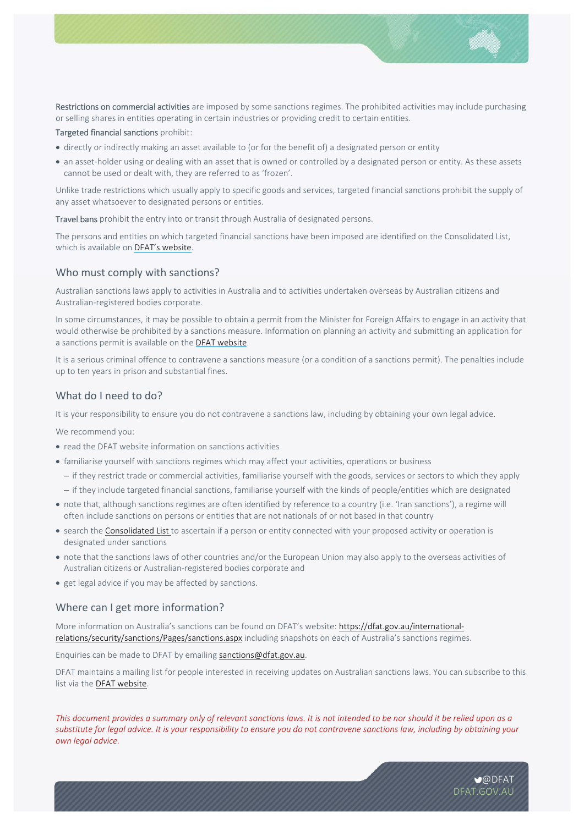

Restrictions on commercial activities are imposed by some sanctions regimes. The prohibited activities may include purchasing or selling shares in entities operating in certain industries or providing credit to certain entities.

Targeted financial sanctions prohibit:

- directly or indirectly making an asset available to (or for the benefit of) a designated person or entity
- an asset-holder using or dealing with an asset that is owned or controlled by a designated person or entity. As these assets cannot be used or dealt with, they are referred to as 'frozen'.

Unlike trade restrictions which usually apply to specific goods and services, targeted financial sanctions prohibit the supply of any asset whatsoever to designated persons or entities.

Travel bans prohibit the entry into or transit through Australia of designated persons.

The persons and entities on which targeted financial sanctions have been imposed are identified on the Consolidated List, which is available on DFAT's website.

## Who must comply with sanctions?

Australian sanctions laws apply to activities in Australia and to activities undertaken overseas by Australian citizens and Australian‐registered bodies corporate.

In some circumstances, it may be possible to obtain a permit from the Minister for Foreign Affairs to engage in an activity that would otherwise be prohibited by a sanctions measure. Information on planning an activity and submitting an application for a sanctions permit is available on the DFAT website.

It is a serious criminal offence to contravene a sanctions measure (or a condition of a sanctions permit). The penalties include up to ten years in prison and substantial fines.

## What do I need to do?

It is your responsibility to ensure you do not contravene a sanctions law, including by obtaining your own legal advice.

We recommend you:

- read the DFAT website information on sanctions activities
- familiarise yourself with sanctions regimes which may affect your activities, operations or business
	- if they restrict trade or commercial activities, familiarise yourself with the goods, services or sectors to which they apply
	- if they include targeted financial sanctions, familiarise yourself with the kinds of people/entities which are designated
- note that, although sanctions regimes are often identified by reference to a country (i.e. 'Iran sanctions'), a regime will often include sanctions on persons or entities that are not nationals of or not based in that country
- search the Consolidated List to ascertain if a person or entity connected with your proposed activity or operation is designated under sanctions
- note that the sanctions laws of other countries and/or the European Union may also apply to the overseas activities of Australian citizens or Australian‐registered bodies corporate and
- get legal advice if you may be affected by sanctions.

## Where can I get more information?

More information on Australia's sanctions can be found on DFAT's website: https://dfat.gov.au/internationalrelations/security/sanctions/Pages/sanctions.aspx including snapshots on each of Australia's sanctions regimes.

Enquiries can be made to DFAT by emailing sanctions@dfat.gov.au.

DFAT maintains a mailing list for people interested in receiving updates on Australian sanctions laws. You can subscribe to this list via the DFAT website.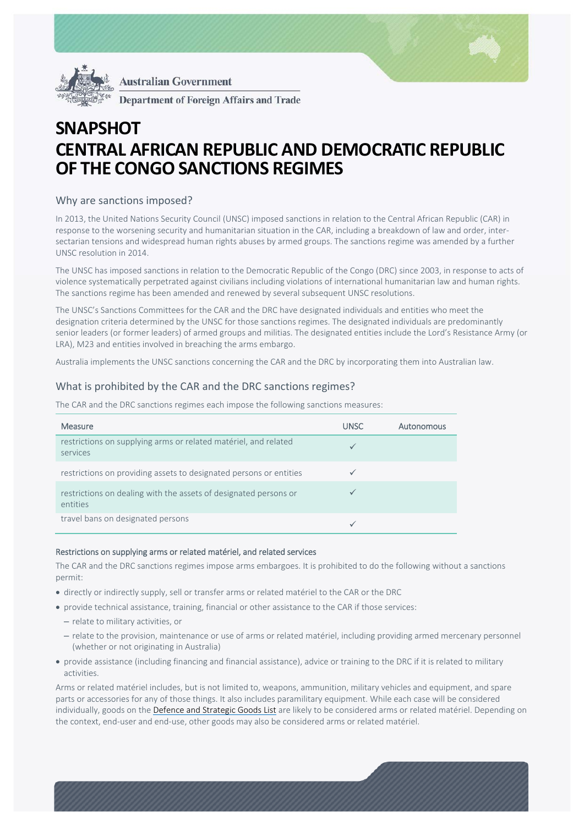



**Department of Foreign Affairs and Trade** 

# **SNAPSHOT CENTRAL AFRICAN REPUBLIC AND DEMOCRATIC REPUBLIC OF THE CONGO SANCTIONS REGIMES**

# Why are sanctions imposed?

In 2013, the United Nations Security Council (UNSC) imposed sanctions in relation to the Central African Republic (CAR) in response to the worsening security and humanitarian situation in the CAR, including a breakdown of law and order, inter‐ sectarian tensions and widespread human rights abuses by armed groups. The sanctions regime was amended by a further UNSC resolution in 2014.

The UNSC has imposed sanctions in relation to the Democratic Republic of the Congo (DRC) since 2003, in response to acts of violence systematically perpetrated against civilians including violations of international humanitarian law and human rights. The sanctions regime has been amended and renewed by several subsequent UNSC resolutions.

The UNSC's Sanctions Committees for the CAR and the DRC have designated individuals and entities who meet the designation criteria determined by the UNSC for those sanctions regimes. The designated individuals are predominantly senior leaders (or former leaders) of armed groups and militias. The designated entities include the Lord's Resistance Army (or LRA), M23 and entities involved in breaching the arms embargo.

Australia implements the UNSC sanctions concerning the CAR and the DRC by incorporating them into Australian law.

# What is prohibited by the CAR and the DRC sanctions regimes?

The CAR and the DRC sanctions regimes each impose the following sanctions measures:

| <b>Measure</b>                                                               | <b>UNSC</b> | Autonomous |
|------------------------------------------------------------------------------|-------------|------------|
| restrictions on supplying arms or related matériel, and related<br>services  |             |            |
| restrictions on providing assets to designated persons or entities           |             |            |
| restrictions on dealing with the assets of designated persons or<br>entities |             |            |
| travel bans on designated persons                                            |             |            |

### Restrictions on supplying arms or related matériel, and related services

The CAR and the DRC sanctions regimes impose arms embargoes. It is prohibited to do the following without a sanctions permit:

- directly or indirectly supply, sell or transfer arms or related matériel to the CAR or the DRC
- provide technical assistance, training, financial or other assistance to the CAR if those services:
	- relate to military activities, or
	- relate to the provision, maintenance or use of arms or related matériel, including providing armed mercenary personnel (whether or not originating in Australia)
- provide assistance (including financing and financial assistance), advice or training to the DRC if it is related to military activities.

Arms or related matériel includes, but is not limited to, weapons, ammunition, military vehicles and equipment, and spare parts or accessories for any of those things. It also includes paramilitary equipment. While each case will be considered individually, goods on the Defence and Strategic Goods List are likely to be considered arms or related matériel. Depending on the context, end‐user and end‐use, other goods may also be considered arms or related matériel.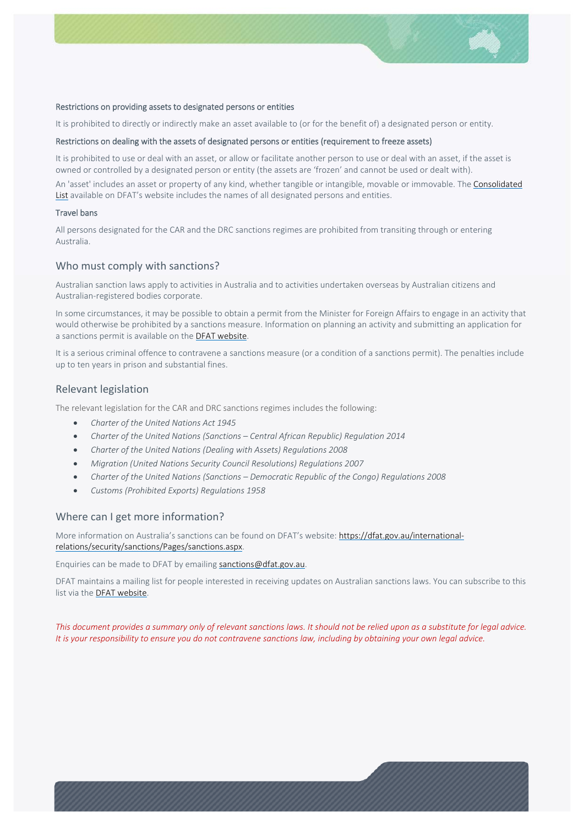

#### Restrictions on providing assets to designated persons or entities

It is prohibited to directly or indirectly make an asset available to (or for the benefit of) a designated person or entity.

### Restrictions on dealing with the assets of designated persons or entities (requirement to freeze assets)

It is prohibited to use or deal with an asset, or allow or facilitate another person to use or deal with an asset, if the asset is owned or controlled by a designated person or entity (the assets are 'frozen' and cannot be used or dealt with).

An 'asset' includes an asset or property of any kind, whether tangible or intangible, movable or immovable. The Consolidated List available on DFAT's website includes the names of all designated persons and entities.

#### Travel bans

All persons designated for the CAR and the DRC sanctions regimes are prohibited from transiting through or entering Australia.

### Who must comply with sanctions?

Australian sanction laws apply to activities in Australia and to activities undertaken overseas by Australian citizens and Australian‐registered bodies corporate.

In some circumstances, it may be possible to obtain a permit from the Minister for Foreign Affairs to engage in an activity that would otherwise be prohibited by a sanctions measure. Information on planning an activity and submitting an application for a sanctions permit is available on the DFAT website.

It is a serious criminal offence to contravene a sanctions measure (or a condition of a sanctions permit). The penalties include up to ten years in prison and substantial fines.

## Relevant legislation

The relevant legislation for the CAR and DRC sanctions regimes includes the following:

- *Charter of the United Nations Act 1945*
- *Charter of the United Nations (Sanctions Central African Republic) Regulation 2014*
- *Charter of the United Nations (Dealing with Assets) Regulations 2008*
- *Migration (United Nations Security Council Resolutions) Regulations 2007*
- *Charter of the United Nations (Sanctions Democratic Republic of the Congo) Regulations 2008*
- *Customs (Prohibited Exports) Regulations 1958*

### Where can I get more information?

More information on Australia's sanctions can be found on DFAT's website: https://dfat.gov.au/internationalrelations/security/sanctions/Pages/sanctions.aspx.

# Enquiries can be made to DFAT by emailing sanctions@dfat.gov.au.

DFAT maintains a mailing list for people interested in receiving updates on Australian sanctions laws. You can subscribe to this list via the **DFAT website**.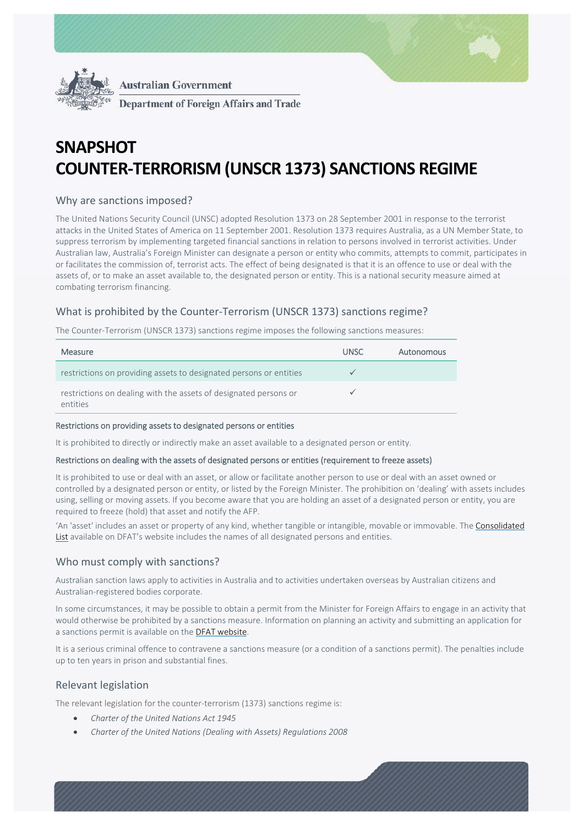



# **SNAPSHOT COUNTER-TERRORISM (UNSCR 1373) SANCTIONS REGIME**

# Why are sanctions imposed?

The United Nations Security Council (UNSC) adopted Resolution 1373 on 28 September 2001 in response to the terrorist attacks in the United States of America on 11 September 2001. Resolution 1373 requires Australia, as a UN Member State, to suppress terrorism by implementing targeted financial sanctions in relation to persons involved in terrorist activities. Under Australian law, Australia's Foreign Minister can designate a person or entity who commits, attempts to commit, participates in or facilitates the commission of, terrorist acts. The effect of being designated is that it is an offence to use or deal with the assets of, or to make an asset available to, the designated person or entity. This is a national security measure aimed at combating terrorism financing.

# What is prohibited by the Counter‐Terrorism (UNSCR 1373) sanctions regime?

The Counter‐Terrorism (UNSCR 1373) sanctions regime imposes the following sanctions measures:

| <b>Measure</b>                                                               | UNSC. | Autonomous |
|------------------------------------------------------------------------------|-------|------------|
| restrictions on providing assets to designated persons or entities           |       |            |
| restrictions on dealing with the assets of designated persons or<br>entities |       |            |

#### Restrictions on providing assets to designated persons or entities

It is prohibited to directly or indirectly make an asset available to a designated person or entity.

### Restrictions on dealing with the assets of designated persons or entities (requirement to freeze assets)

It is prohibited to use or deal with an asset, or allow or facilitate another person to use or deal with an asset owned or controlled by a designated person or entity, or listed by the Foreign Minister. The prohibition on 'dealing' with assets includes using, selling or moving assets. If you become aware that you are holding an asset of a designated person or entity, you are required to freeze (hold) that asset and notify the AFP.

'An 'asset' includes an asset or property of any kind, whether tangible or intangible, movable or immovable. The Consolidated List available on DFAT's website includes the names of all designated persons and entities.

# Who must comply with sanctions?

Australian sanction laws apply to activities in Australia and to activities undertaken overseas by Australian citizens and Australian‐registered bodies corporate.

In some circumstances, it may be possible to obtain a permit from the Minister for Foreign Affairs to engage in an activity that would otherwise be prohibited by a sanctions measure. Information on planning an activity and submitting an application for a sanctions permit is available on the DFAT website.

It is a serious criminal offence to contravene a sanctions measure (or a condition of a sanctions permit). The penalties include up to ten years in prison and substantial fines.

# Relevant legislation

The relevant legislation for the counter‐terrorism (1373) sanctions regime is:

- *Charter of the United Nations Act 1945*
- *Charter of the United Nations (Dealing with Assets) Regulations 2008*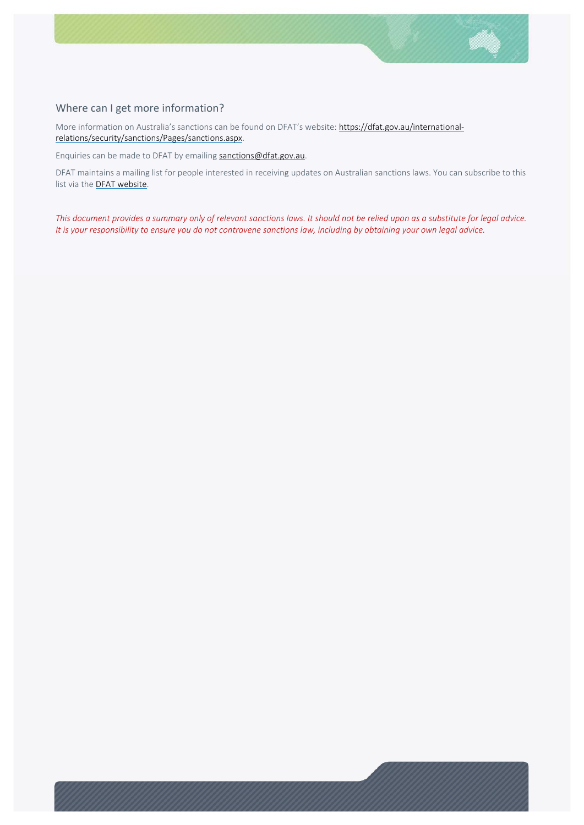

# Where can I get more information?

More information on Australia's sanctions can be found on DFAT's website: https://dfat.gov.au/internationalrelations/security/sanctions/Pages/sanctions.aspx.

Enquiries can be made to DFAT by emailing sanctions@dfat.gov.au.

DFAT maintains a mailing list for people interested in receiving updates on Australian sanctions laws. You can subscribe to this list via the **DFAT website**.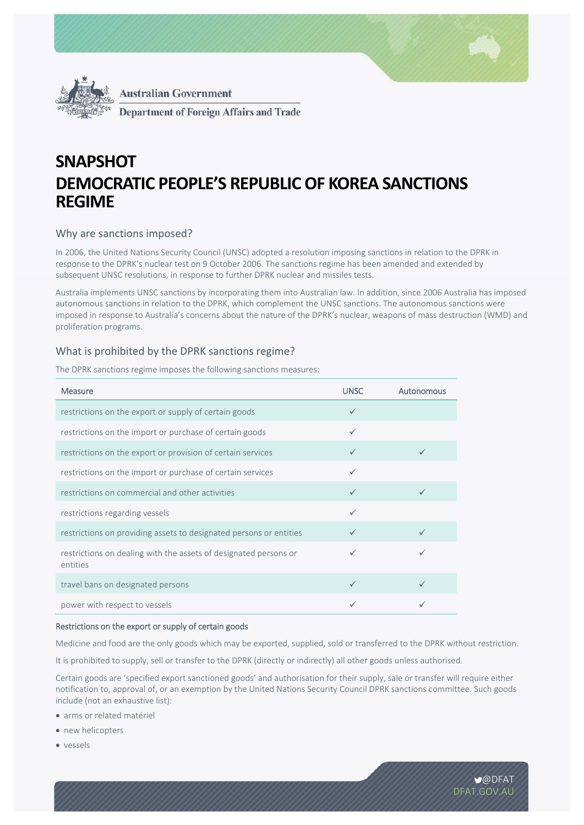



**Department of Foreign Affairs and Trade** 

# **SNAPSHOT DEMOCRATIC PEOPLE'S REPUBLIC OF KOREA SANCTIONS REGIME**

# Why are sanctions imposed?

In 2006, the United Nations Security Council (UNSC) adopted a resolution imposing sanctions in relation to the DPRK in response to the DPRK's nuclear test on 9 October 2006. The sanctions regime has been amended and extended by subsequent UNSC resolutions, in response to further DPRK nuclear and missiles tests.

Australia implements UNSC sanctions by incorporating them into Australian law. In addition, since 2006 Australia has imposed autonomous sanctions in relation to the DPRK, which complement the UNSC sanctions. The autonomous sanctions were imposed in response to Australia's concerns about the nature of the DPRK's nuclear, weapons of mass destruction (WMD) and proliferation programs.

## What is prohibited by the DPRK sanctions regime?

The DPRK sanctions regime imposes the following sanctions measures:

| <b>Measure</b>                                                               | <b>UNSC</b>  | Autonomous |
|------------------------------------------------------------------------------|--------------|------------|
| restrictions on the export or supply of certain goods                        | $\checkmark$ |            |
| restrictions on the import or purchase of certain goods                      | $\checkmark$ |            |
| restrictions on the export or provision of certain services                  |              |            |
| restrictions on the import or purchase of certain services                   |              |            |
| restrictions on commercial and other activities                              | $\checkmark$ |            |
| restrictions regarding vessels                                               | $\checkmark$ |            |
| restrictions on providing assets to designated persons or entities           |              |            |
| restrictions on dealing with the assets of designated persons or<br>entities |              |            |
| travel bans on designated persons                                            | $\checkmark$ |            |
| power with respect to vessels                                                |              |            |

### Restrictions on the export or supply of certain goods

Medicine and food are the only goods which may be exported, supplied, sold or transferred to the DPRK without restriction.

It is prohibited to supply, sell or transfer to the DPRK (directly or indirectly) all other goods unless authorised.

Certain goods are 'specified export sanctioned goods' and authorisation for their supply, sale or transfer will require either notification to, approval of, or an exemption by the United Nations Security Council DPRK sanctions committee. Such goods include (not an exhaustive list):

- arms or related matériel
- new helicopters
- vessels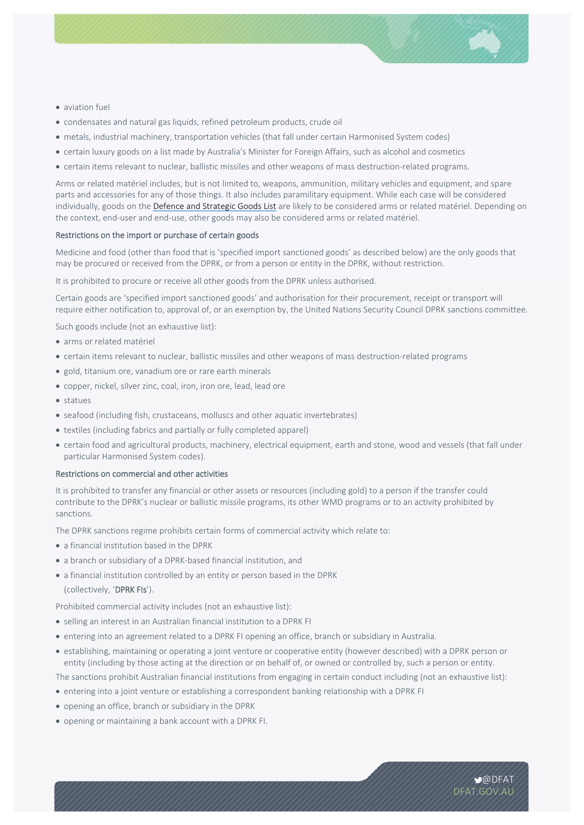

- aviation fuel
- condensates and natural gas liquids, refined petroleum products, crude oil
- metals, industrial machinery, transportation vehicles (that fall under certain Harmonised System codes)
- certain luxury goods on a list made by Australia's Minister for Foreign Affairs, such as alcohol and cosmetics
- certain items relevant to nuclear, ballistic missiles and other weapons of mass destruction‐related programs.

Arms or related matériel includes, but is not limited to, weapons, ammunition, military vehicles and equipment, and spare parts and accessories for any of those things. It also includes paramilitary equipment. While each case will be considered individually, goods on the Defence and Strategic Goods List are likely to be considered arms or related matériel. Depending on the context, end‐user and end‐use, other goods may also be considered arms or related matériel.

#### Restrictions on the import or purchase of certain goods

Medicine and food (other than food that is 'specified import sanctioned goods' as described below) are the only goods that may be procured or received from the DPRK, or from a person or entity in the DPRK, without restriction.

It is prohibited to procure or receive all other goods from the DPRK unless authorised.

Certain goods are 'specified import sanctioned goods' and authorisation for their procurement, receipt or transport will require either notification to, approval of, or an exemption by, the United Nations Security Council DPRK sanctions committee.

Such goods include (not an exhaustive list):

- arms or related matériel
- certain items relevant to nuclear, ballistic missiles and other weapons of mass destruction‐related programs
- gold, titanium ore, vanadium ore or rare earth minerals
- copper, nickel, silver zinc, coal, iron, iron ore, lead, lead ore
- statues
- seafood (including fish, crustaceans, molluscs and other aquatic invertebrates)
- textiles (including fabrics and partially or fully completed apparel)
- certain food and agricultural products, machinery, electrical equipment, earth and stone, wood and vessels (that fall under particular Harmonised System codes).

#### Restrictions on commercial and other activities

It is prohibited to transfer any financial or other assets or resources (including gold) to a person if the transfer could contribute to the DPRK's nuclear or ballistic missile programs, its other WMD programs or to an activity prohibited by sanctions.

The DPRK sanctions regime prohibits certain forms of commercial activity which relate to:

- a financial institution based in the DPRK
- a branch or subsidiary of a DPRK‐based financial institution, and
- a financial institution controlled by an entity or person based in the DPRK (collectively, 'DPRK FIs').

Prohibited commercial activity includes (not an exhaustive list):

- selling an interest in an Australian financial institution to a DPRK FI
- entering into an agreement related to a DPRK FI opening an office, branch or subsidiary in Australia.
- establishing, maintaining or operating a joint venture or cooperative entity (however described) with a DPRK person or entity (including by those acting at the direction or on behalf of, or owned or controlled by, such a person or entity.

The sanctions prohibit Australian financial institutions from engaging in certain conduct including (not an exhaustive list):

- entering into a joint venture or establishing a correspondent banking relationship with a DPRK FI
- opening an office, branch or subsidiary in the DPRK
- opening or maintaining a bank account with a DPRK FI.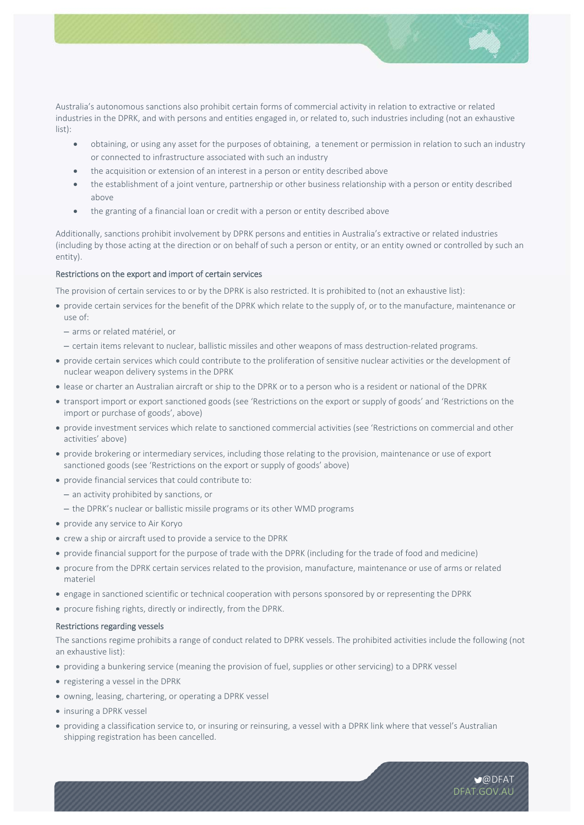

Australia's autonomous sanctions also prohibit certain forms of commercial activity in relation to extractive or related industries in the DPRK, and with persons and entities engaged in, or related to, such industries including (not an exhaustive list):

- obtaining, or using any asset for the purposes of obtaining, a tenement or permission in relation to such an industry or connected to infrastructure associated with such an industry
- the acquisition or extension of an interest in a person or entity described above
- the establishment of a joint venture, partnership or other business relationship with a person or entity described above
- the granting of a financial loan or credit with a person or entity described above

Additionally, sanctions prohibit involvement by DPRK persons and entities in Australia's extractive or related industries (including by those acting at the direction or on behalf of such a person or entity, or an entity owned or controlled by such an entity).

## Restrictions on the export and import of certain services

The provision of certain services to or by the DPRK is also restricted. It is prohibited to (not an exhaustive list):

- provide certain services for the benefit of the DPRK which relate to the supply of, or to the manufacture, maintenance or use of:
	- arms or related matériel, or
	- certain items relevant to nuclear, ballistic missiles and other weapons of mass destruction‐related programs.
- provide certain services which could contribute to the proliferation of sensitive nuclear activities or the development of nuclear weapon delivery systems in the DPRK
- lease or charter an Australian aircraft or ship to the DPRK or to a person who is a resident or national of the DPRK
- transport import or export sanctioned goods (see 'Restrictions on the export or supply of goods' and 'Restrictions on the import or purchase of goods', above)
- provide investment services which relate to sanctioned commercial activities (see 'Restrictions on commercial and other activities' above)
- provide brokering or intermediary services, including those relating to the provision, maintenance or use of export sanctioned goods (see 'Restrictions on the export or supply of goods' above)
- provide financial services that could contribute to:
	- an activity prohibited by sanctions, or
	- the DPRK's nuclear or ballistic missile programs or its other WMD programs
- provide any service to Air Koryo
- crew a ship or aircraft used to provide a service to the DPRK
- provide financial support for the purpose of trade with the DPRK (including for the trade of food and medicine)
- procure from the DPRK certain services related to the provision, manufacture, maintenance or use of arms or related materiel
- engage in sanctioned scientific or technical cooperation with persons sponsored by or representing the DPRK
- procure fishing rights, directly or indirectly, from the DPRK.

### Restrictions regarding vessels

The sanctions regime prohibits a range of conduct related to DPRK vessels. The prohibited activities include the following (not an exhaustive list):

- providing a bunkering service (meaning the provision of fuel, supplies or other servicing) to a DPRK vessel
- registering a vessel in the DPRK
- owning, leasing, chartering, or operating a DPRK vessel
- insuring a DPRK vessel
- providing a classification service to, or insuring or reinsuring, a vessel with a DPRK link where that vessel's Australian shipping registration has been cancelled.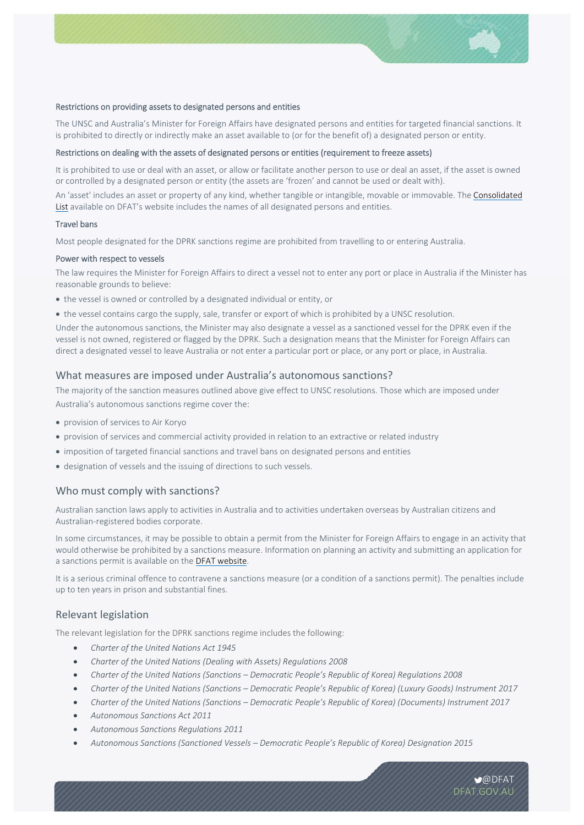

#### Restrictions on providing assets to designated persons and entities

The UNSC and Australia's Minister for Foreign Affairs have designated persons and entities for targeted financial sanctions. It is prohibited to directly or indirectly make an asset available to (or for the benefit of) a designated person or entity.

#### Restrictions on dealing with the assets of designated persons or entities (requirement to freeze assets)

It is prohibited to use or deal with an asset, or allow or facilitate another person to use or deal an asset, if the asset is owned or controlled by a designated person or entity (the assets are 'frozen' and cannot be used or dealt with).

An 'asset' includes an asset or property of any kind, whether tangible or intangible, movable or immovable. The Consolidated List available on DFAT's website includes the names of all designated persons and entities.

#### Travel bans

Most people designated for the DPRK sanctions regime are prohibited from travelling to or entering Australia.

#### Power with respect to vessels

The law requires the Minister for Foreign Affairs to direct a vessel not to enter any port or place in Australia if the Minister has reasonable grounds to believe:

- the vessel is owned or controlled by a designated individual or entity, or
- the vessel contains cargo the supply, sale, transfer or export of which is prohibited by a UNSC resolution.

Under the autonomous sanctions, the Minister may also designate a vessel as a sanctioned vessel for the DPRK even if the vessel is not owned, registered or flagged by the DPRK. Such a designation means that the Minister for Foreign Affairs can direct a designated vessel to leave Australia or not enter a particular port or place, or any port or place, in Australia.

## What measures are imposed under Australia's autonomous sanctions?

The majority of the sanction measures outlined above give effect to UNSC resolutions. Those which are imposed under Australia's autonomous sanctions regime cover the:

- provision of services to Air Koryo
- provision of services and commercial activity provided in relation to an extractive or related industry
- imposition of targeted financial sanctions and travel bans on designated persons and entities
- designation of vessels and the issuing of directions to such vessels.

### Who must comply with sanctions?

Australian sanction laws apply to activities in Australia and to activities undertaken overseas by Australian citizens and Australian‐registered bodies corporate.

In some circumstances, it may be possible to obtain a permit from the Minister for Foreign Affairs to engage in an activity that would otherwise be prohibited by a sanctions measure. Information on planning an activity and submitting an application for a sanctions permit is available on the DFAT website.

It is a serious criminal offence to contravene a sanctions measure (or a condition of a sanctions permit). The penalties include up to ten years in prison and substantial fines.

## Relevant legislation

The relevant legislation for the DPRK sanctions regime includes the following:

- *Charter of the United Nations Act 1945*
- *Charter of the United Nations (Dealing with Assets) Regulations 2008*
- *Charter of the United Nations (Sanctions Democratic People's Republic of Korea) Regulations 2008*
- *Charter of the United Nations (Sanctions Democratic People's Republic of Korea) (Luxury Goods) Instrument 2017*
- *Charter of the United Nations (Sanctions Democratic People's Republic of Korea) (Documents) Instrument 2017*
- *Autonomous Sanctions Act 2011*
- *Autonomous Sanctions Regulations 2011*
- *Autonomous Sanctions (Sanctioned Vessels Democratic People's Republic of Korea) Designation 2015*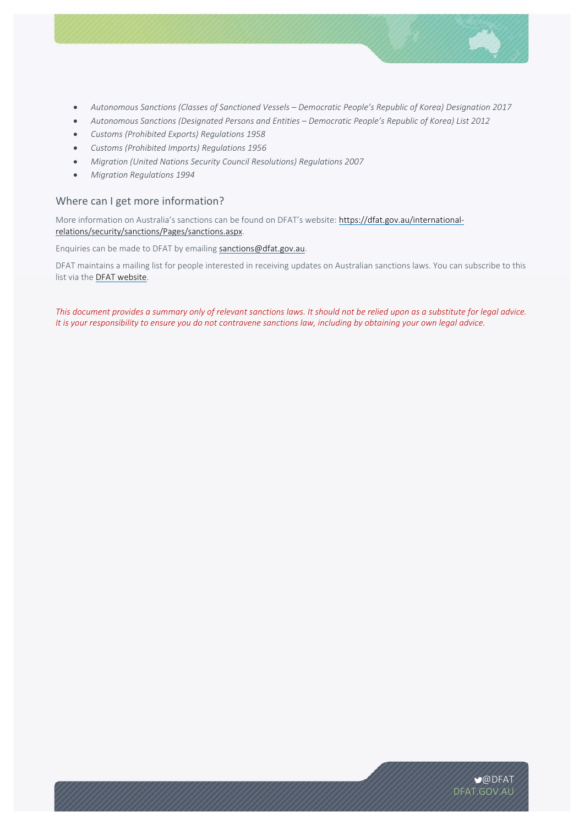

- *Autonomous Sanctions (Classes of Sanctioned Vessels Democratic People's Republic of Korea) Designation 2017*
- *Autonomous Sanctions (Designated Persons and Entities Democratic People's Republic of Korea) List 2012*
- *Customs (Prohibited Exports) Regulations 1958*
- *Customs (Prohibited Imports) Regulations 1956*
- *Migration (United Nations Security Council Resolutions) Regulations 2007*
- *Migration Regulations 1994*

# Where can I get more information?

More information on Australia's sanctions can be found on DFAT's website: https://dfat.gov.au/internationalrelations/security/sanctions/Pages/sanctions.aspx.

Enquiries can be made to DFAT by emailing sanctions@dfat.gov.au.

DFAT maintains a mailing list for people interested in receiving updates on Australian sanctions laws. You can subscribe to this list via the **DFAT website**.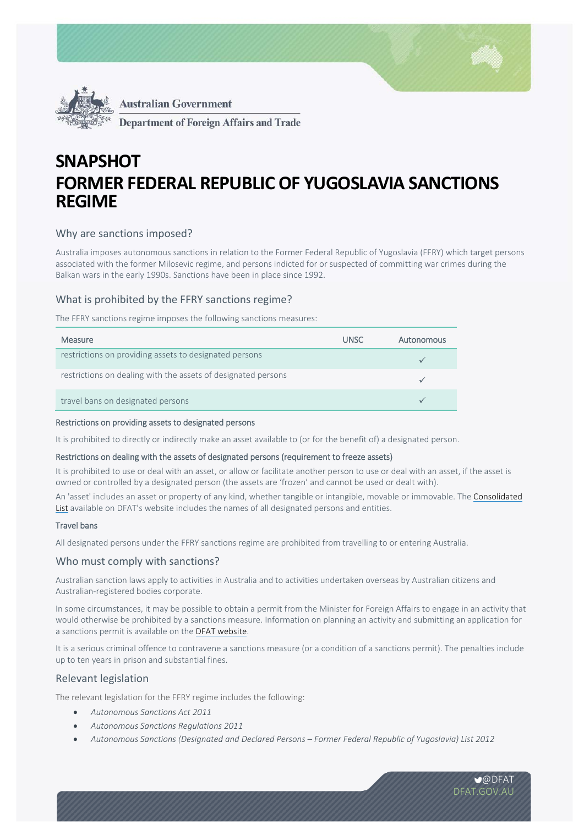



**Department of Foreign Affairs and Trade** 

# **SNAPSHOT FORMER FEDERAL REPUBLIC OF YUGOSLAVIA SANCTIONS REGIME**

# Why are sanctions imposed?

Australia imposes autonomous sanctions in relation to the Former Federal Republic of Yugoslavia (FFRY) which target persons associated with the former Milosevic regime, and persons indicted for or suspected of committing war crimes during the Balkan wars in the early 1990s. Sanctions have been in place since 1992.

# What is prohibited by the FFRY sanctions regime?

The FFRY sanctions regime imposes the following sanctions measures:

| <b>Measure</b>                                                | <b>UNSC</b> | Autonomous |
|---------------------------------------------------------------|-------------|------------|
| restrictions on providing assets to designated persons        |             |            |
| restrictions on dealing with the assets of designated persons |             |            |
| travel bans on designated persons                             |             |            |

#### Restrictions on providing assets to designated persons

It is prohibited to directly or indirectly make an asset available to (or for the benefit of) a designated person.

## Restrictions on dealing with the assets of designated persons (requirement to freeze assets)

It is prohibited to use or deal with an asset, or allow or facilitate another person to use or deal with an asset, if the asset is owned or controlled by a designated person (the assets are 'frozen' and cannot be used or dealt with).

An 'asset' includes an asset or property of any kind, whether tangible or intangible, movable or immovable. The Consolidated List available on DFAT's website includes the names of all designated persons and entities.

## Travel bans

All designated persons under the FFRY sanctions regime are prohibited from travelling to or entering Australia.

# Who must comply with sanctions?

Australian sanction laws apply to activities in Australia and to activities undertaken overseas by Australian citizens and Australian‐registered bodies corporate.

In some circumstances, it may be possible to obtain a permit from the Minister for Foreign Affairs to engage in an activity that would otherwise be prohibited by a sanctions measure. Information on planning an activity and submitting an application for a sanctions permit is available on the DFAT website.

It is a serious criminal offence to contravene a sanctions measure (or a condition of a sanctions permit). The penalties include up to ten years in prison and substantial fines.

## Relevant legislation

The relevant legislation for the FFRY regime includes the following:

- *Autonomous Sanctions Act 2011*
- *Autonomous Sanctions Regulations 2011*
- *Autonomous Sanctions (Designated and Declared Persons Former Federal Republic of Yugoslavia) List 2012*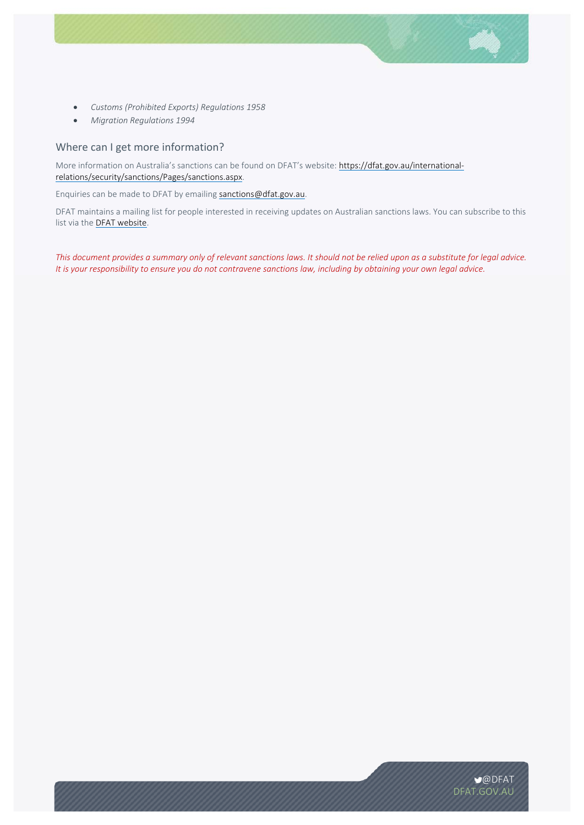- *Customs (Prohibited Exports) Regulations 1958*
- *Migration Regulations 1994*

## Where can I get more information?

More information on Australia's sanctions can be found on DFAT's website: https://dfat.gov.au/internationalrelations/security/sanctions/Pages/sanctions.aspx.

Enquiries can be made to DFAT by emailing sanctions@dfat.gov.au.

DFAT maintains a mailing list for people interested in receiving updates on Australian sanctions laws. You can subscribe to this list via the **DFAT website**.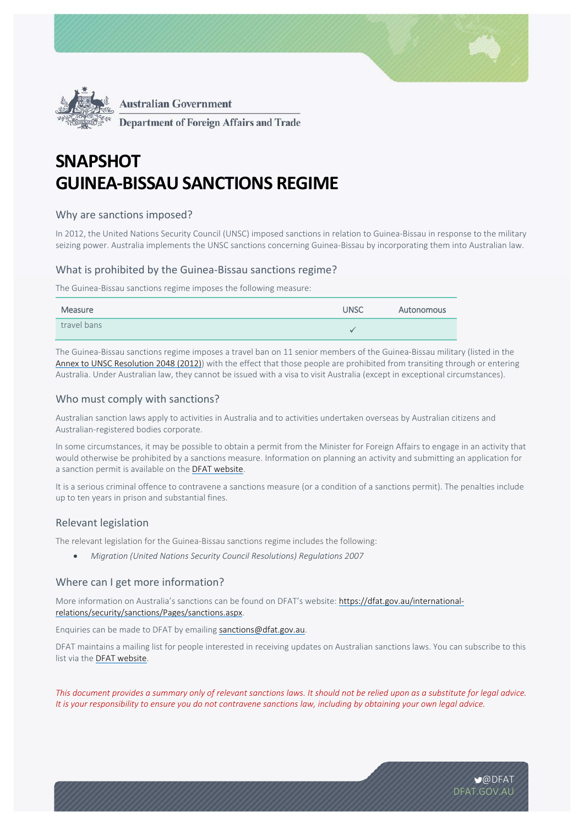



**Department of Foreign Affairs and Trade** 

# **SNAPSHOT GUINEA-BISSAU SANCTIONS REGIME**

# Why are sanctions imposed?

In 2012, the United Nations Security Council (UNSC) imposed sanctions in relation to Guinea‐Bissau in response to the military seizing power. Australia implements the UNSC sanctions concerning Guinea‐Bissau by incorporating them into Australian law.

# What is prohibited by the Guinea‐Bissau sanctions regime?

The Guinea‐Bissau sanctions regime imposes the following measure:

| Measure     | <b>UNSC</b> | Autonomous |
|-------------|-------------|------------|
| travel bans |             |            |

The Guinea‐Bissau sanctions regime imposes a travel ban on 11 senior members of the Guinea‐Bissau military (listed in the Annex to UNSC Resolution 2048 (2012)) with the effect that those people are prohibited from transiting through or entering Australia. Under Australian law, they cannot be issued with a visa to visit Australia (except in exceptional circumstances).

# Who must comply with sanctions?

Australian sanction laws apply to activities in Australia and to activities undertaken overseas by Australian citizens and Australian‐registered bodies corporate.

In some circumstances, it may be possible to obtain a permit from the Minister for Foreign Affairs to engage in an activity that would otherwise be prohibited by a sanctions measure. Information on planning an activity and submitting an application for a sanction permit is available on the DFAT website.

It is a serious criminal offence to contravene a sanctions measure (or a condition of a sanctions permit). The penalties include up to ten years in prison and substantial fines.

# Relevant legislation

The relevant legislation for the Guinea‐Bissau sanctions regime includes the following:

*Migration (United Nations Security Council Resolutions) Regulations 2007*

# Where can I get more information?

More information on Australia's sanctions can be found on DFAT's website: https://dfat.gov.au/internationalrelations/security/sanctions/Pages/sanctions.aspx.

Enquiries can be made to DFAT by emailing sanctions@dfat.gov.au.

DFAT maintains a mailing list for people interested in receiving updates on Australian sanctions laws. You can subscribe to this list via the **DFAT website**.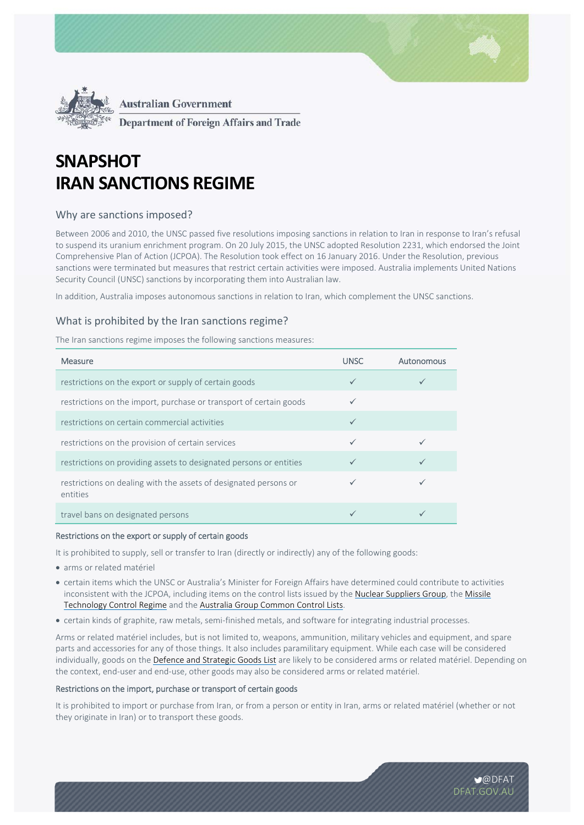



**Department of Foreign Affairs and Trade** 

# **SNAPSHOT IRAN SANCTIONS REGIME**

# Why are sanctions imposed?

Between 2006 and 2010, the UNSC passed five resolutions imposing sanctions in relation to Iran in response to Iran's refusal to suspend its uranium enrichment program. On 20 July 2015, the UNSC adopted Resolution 2231, which endorsed the Joint Comprehensive Plan of Action (JCPOA). The Resolution took effect on 16 January 2016. Under the Resolution, previous sanctions were terminated but measures that restrict certain activities were imposed. Australia implements United Nations Security Council (UNSC) sanctions by incorporating them into Australian law.

In addition, Australia imposes autonomous sanctions in relation to Iran, which complement the UNSC sanctions.

# What is prohibited by the Iran sanctions regime?

The Iran sanctions regime imposes the following sanctions measures:

| <b>Measure</b>                                                               | <b>UNSC</b>  | Autonomous |
|------------------------------------------------------------------------------|--------------|------------|
| restrictions on the export or supply of certain goods                        | $\checkmark$ |            |
| restrictions on the import, purchase or transport of certain goods           |              |            |
| restrictions on certain commercial activities                                | $\checkmark$ |            |
| restrictions on the provision of certain services                            |              |            |
| restrictions on providing assets to designated persons or entities           |              |            |
| restrictions on dealing with the assets of designated persons or<br>entities |              |            |
| travel bans on designated persons                                            |              |            |

#### Restrictions on the export or supply of certain goods

It is prohibited to supply, sell or transfer to Iran (directly or indirectly) any of the following goods:

- arms or related matériel
- certain items which the UNSC or Australia's Minister for Foreign Affairs have determined could contribute to activities inconsistent with the JCPOA, including items on the control lists issued by the Nuclear Suppliers Group, the Missile Technology Control Regime and the Australia Group Common Control Lists.
- certain kinds of graphite, raw metals, semi‐finished metals, and software for integrating industrial processes.

Arms or related matériel includes, but is not limited to, weapons, ammunition, military vehicles and equipment, and spare parts and accessories for any of those things. It also includes paramilitary equipment. While each case will be considered individually, goods on the Defence and Strategic Goods List are likely to be considered arms or related matériel. Depending on the context, end‐user and end‐use, other goods may also be considered arms or related matériel.

### Restrictions on the import, purchase or transport of certain goods

It is prohibited to import or purchase from Iran, or from a person or entity in Iran, arms or related matériel (whether or not they originate in Iran) or to transport these goods.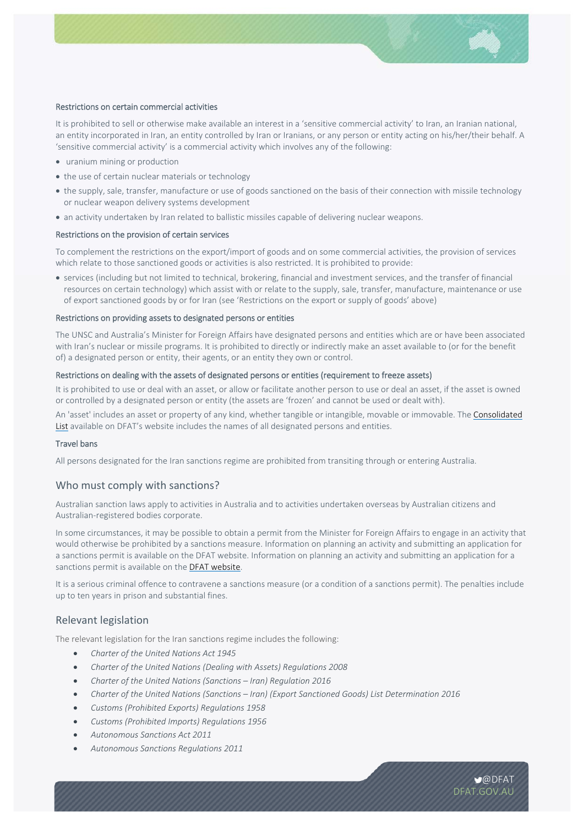

#### Restrictions on certain commercial activities

It is prohibited to sell or otherwise make available an interest in a 'sensitive commercial activity' to Iran, an Iranian national, an entity incorporated in Iran, an entity controlled by Iran or Iranians, or any person or entity acting on his/her/their behalf. A 'sensitive commercial activity' is a commercial activity which involves any of the following:

- uranium mining or production
- the use of certain nuclear materials or technology
- the supply, sale, transfer, manufacture or use of goods sanctioned on the basis of their connection with missile technology or nuclear weapon delivery systems development
- an activity undertaken by Iran related to ballistic missiles capable of delivering nuclear weapons.

#### Restrictions on the provision of certain services

To complement the restrictions on the export/import of goods and on some commercial activities, the provision of services which relate to those sanctioned goods or activities is also restricted. It is prohibited to provide:

 services (including but not limited to technical, brokering, financial and investment services, and the transfer of financial resources on certain technology) which assist with or relate to the supply, sale, transfer, manufacture, maintenance or use of export sanctioned goods by or for Iran (see 'Restrictions on the export or supply of goods' above)

#### Restrictions on providing assets to designated persons or entities

The UNSC and Australia's Minister for Foreign Affairs have designated persons and entities which are or have been associated with Iran's nuclear or missile programs. It is prohibited to directly or indirectly make an asset available to (or for the benefit of) a designated person or entity, their agents, or an entity they own or control.

#### Restrictions on dealing with the assets of designated persons or entities (requirement to freeze assets)

It is prohibited to use or deal with an asset, or allow or facilitate another person to use or deal an asset, if the asset is owned or controlled by a designated person or entity (the assets are 'frozen' and cannot be used or dealt with).

An 'asset' includes an asset or property of any kind, whether tangible or intangible, movable or immovable. The Consolidated List available on DFAT's website includes the names of all designated persons and entities.

#### Travel bans

All persons designated for the Iran sanctions regime are prohibited from transiting through or entering Australia.

## Who must comply with sanctions?

Australian sanction laws apply to activities in Australia and to activities undertaken overseas by Australian citizens and Australian‐registered bodies corporate.

In some circumstances, it may be possible to obtain a permit from the Minister for Foreign Affairs to engage in an activity that would otherwise be prohibited by a sanctions measure. Information on planning an activity and submitting an application for a sanctions permit is available on the DFAT website. Information on planning an activity and submitting an application for a sanctions permit is available on the DFAT website.

It is a serious criminal offence to contravene a sanctions measure (or a condition of a sanctions permit). The penalties include up to ten years in prison and substantial fines.

## Relevant legislation

The relevant legislation for the Iran sanctions regime includes the following:

- *Charter of the United Nations Act 1945*
- *Charter of the United Nations (Dealing with Assets) Regulations 2008*
- *Charter of the United Nations (Sanctions Iran) Regulation 2016*
- *Charter of the United Nations (Sanctions Iran) (Export Sanctioned Goods) List Determination 2016*
- *Customs (Prohibited Exports) Regulations 1958*
- *Customs (Prohibited Imports) Regulations 1956*
- *Autonomous Sanctions Act 2011*
- *Autonomous Sanctions Regulations 2011*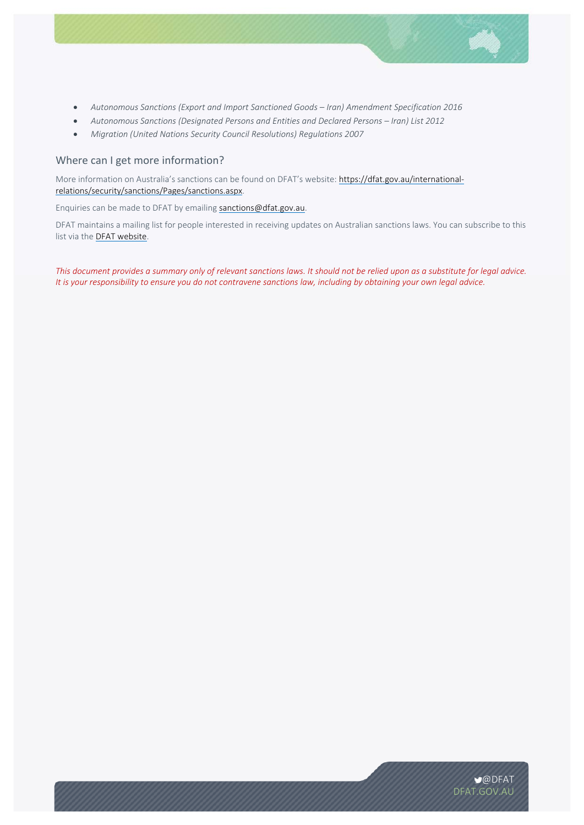

- *Autonomous Sanctions (Export and Import Sanctioned Goods Iran) Amendment Specification 2016*
- *Autonomous Sanctions (Designated Persons and Entities and Declared Persons Iran) List 2012*
- *Migration (United Nations Security Council Resolutions) Regulations 2007*

# Where can I get more information?

More information on Australia's sanctions can be found on DFAT's website: https://dfat.gov.au/internationalrelations/security/sanctions/Pages/sanctions.aspx.

Enquiries can be made to DFAT by emailing sanctions@dfat.gov.au.

DFAT maintains a mailing list for people interested in receiving updates on Australian sanctions laws. You can subscribe to this list via the DFAT website.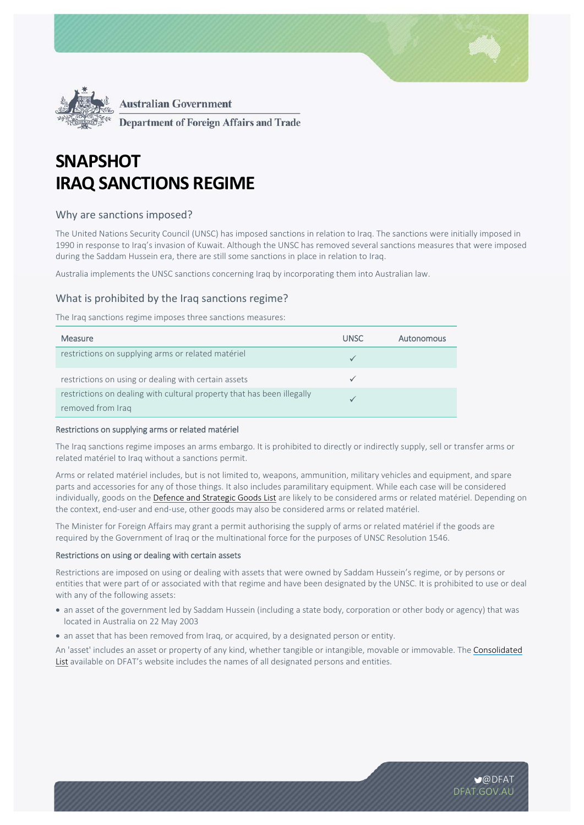



**Department of Foreign Affairs and Trade** 

# **SNAPSHOT IRAQ SANCTIONS REGIME**

# Why are sanctions imposed?

The United Nations Security Council (UNSC) has imposed sanctions in relation to Iraq. The sanctions were initially imposed in 1990 in response to Iraq's invasion of Kuwait. Although the UNSC has removed several sanctions measures that were imposed during the Saddam Hussein era, there are still some sanctions in place in relation to Iraq.

Australia implements the UNSC sanctions concerning Iraq by incorporating them into Australian law.

## What is prohibited by the Iraq sanctions regime?

The Iraq sanctions regime imposes three sanctions measures:

| <b>Measure</b>                                                                              | <b>UNSC</b> | Autonomous |
|---------------------------------------------------------------------------------------------|-------------|------------|
| restrictions on supplying arms or related matériel                                          |             |            |
| restrictions on using or dealing with certain assets                                        |             |            |
| restrictions on dealing with cultural property that has been illegally<br>removed from Iraq |             |            |

#### Restrictions on supplying arms or related matériel

The Iraq sanctions regime imposes an arms embargo. It is prohibited to directly or indirectly supply, sell or transfer arms or related matériel to Iraq without a sanctions permit.

Arms or related matériel includes, but is not limited to, weapons, ammunition, military vehicles and equipment, and spare parts and accessories for any of those things. It also includes paramilitary equipment. While each case will be considered individually, goods on the Defence and Strategic Goods List are likely to be considered arms or related matériel. Depending on the context, end‐user and end‐use, other goods may also be considered arms or related matériel.

The Minister for Foreign Affairs may grant a permit authorising the supply of arms or related matériel if the goods are required by the Government of Iraq or the multinational force for the purposes of UNSC Resolution 1546.

#### Restrictions on using or dealing with certain assets

Restrictions are imposed on using or dealing with assets that were owned by Saddam Hussein's regime, or by persons or entities that were part of or associated with that regime and have been designated by the UNSC. It is prohibited to use or deal with any of the following assets:

- an asset of the government led by Saddam Hussein (including a state body, corporation or other body or agency) that was located in Australia on 22 May 2003
- an asset that has been removed from Iraq, or acquired, by a designated person or entity.

An 'asset' includes an asset or property of any kind, whether tangible or intangible, movable or immovable. The Consolidated List available on DFAT's website includes the names of all designated persons and entities.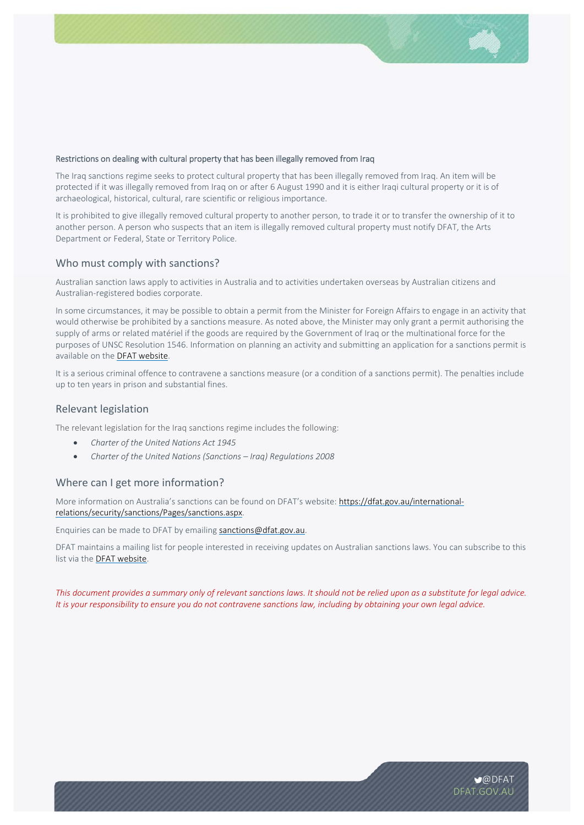## Restrictions on dealing with cultural property that has been illegally removed from Iraq

The Iraq sanctions regime seeks to protect cultural property that has been illegally removed from Iraq. An item will be protected if it was illegally removed from Iraq on or after 6 August 1990 and it is either Iraqi cultural property or it is of archaeological, historical, cultural, rare scientific or religious importance.

It is prohibited to give illegally removed cultural property to another person, to trade it or to transfer the ownership of it to another person. A person who suspects that an item is illegally removed cultural property must notify DFAT, the Arts Department or Federal, State or Territory Police.

## Who must comply with sanctions?

Australian sanction laws apply to activities in Australia and to activities undertaken overseas by Australian citizens and Australian‐registered bodies corporate.

In some circumstances, it may be possible to obtain a permit from the Minister for Foreign Affairs to engage in an activity that would otherwise be prohibited by a sanctions measure. As noted above, the Minister may only grant a permit authorising the supply of arms or related matériel if the goods are required by the Government of Iraq or the multinational force for the purposes of UNSC Resolution 1546. Information on planning an activity and submitting an application for a sanctions permit is available on the DFAT website.

It is a serious criminal offence to contravene a sanctions measure (or a condition of a sanctions permit). The penalties include up to ten years in prison and substantial fines.

## Relevant legislation

The relevant legislation for the Iraq sanctions regime includes the following:

- *Charter of the United Nations Act 1945*
- *Charter of the United Nations (Sanctions Iraq) Regulations 2008*

## Where can I get more information?

More information on Australia's sanctions can be found on DFAT's website: https://dfat.gov.au/internationalrelations/security/sanctions/Pages/sanctions.aspx.

Enquiries can be made to DFAT by emailing sanctions@dfat.gov.au.

DFAT maintains a mailing list for people interested in receiving updates on Australian sanctions laws. You can subscribe to this list via the DFAT website.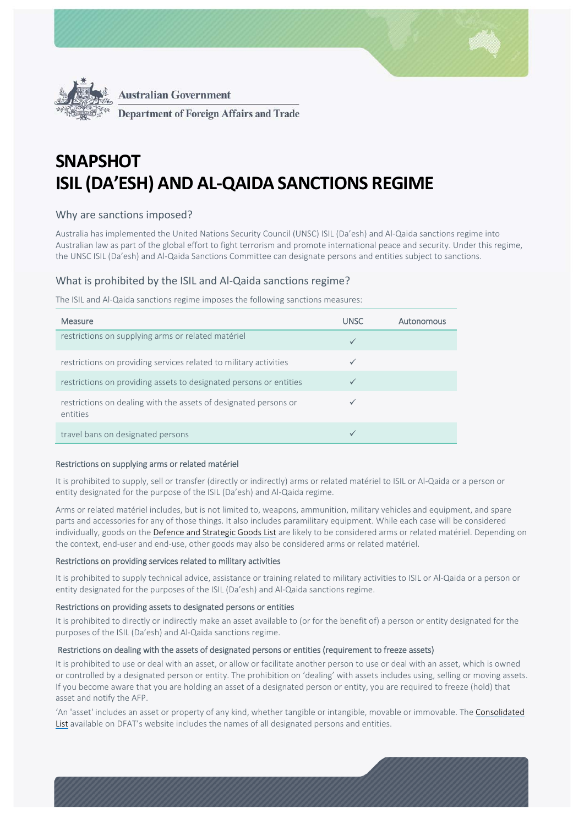



**Department of Foreign Affairs and Trade** 

# **SNAPSHOT ISIL (DA'ESH) AND AL-QAIDA SANCTIONS REGIME**

# Why are sanctions imposed?

Australia has implemented the United Nations Security Council (UNSC) ISIL (Da'esh) and Al‐Qaida sanctions regime into Australian law as part of the global effort to fight terrorism and promote international peace and security. Under this regime, the UNSC ISIL (Da'esh) and Al‐Qaida Sanctions Committee can designate persons and entities subject to sanctions.

# What is prohibited by the ISIL and Al‐Qaida sanctions regime?

The ISIL and Al‐Qaida sanctions regime imposes the following sanctions measures:

| Measure                                                                      | <b>UNSC</b>  | Autonomous |
|------------------------------------------------------------------------------|--------------|------------|
| restrictions on supplying arms or related matériel                           | $\checkmark$ |            |
| restrictions on providing services related to military activities            | $\checkmark$ |            |
| restrictions on providing assets to designated persons or entities           |              |            |
| restrictions on dealing with the assets of designated persons or<br>entities |              |            |
| travel bans on designated persons                                            |              |            |

## Restrictions on supplying arms or related matériel

It is prohibited to supply, sell or transfer (directly or indirectly) arms or related matériel to ISIL or Al-Qaida or a person or entity designated for the purpose of the ISIL (Da'esh) and Al‐Qaida regime.

Arms or related matériel includes, but is not limited to, weapons, ammunition, military vehicles and equipment, and spare parts and accessories for any of those things. It also includes paramilitary equipment. While each case will be considered individually, goods on the Defence and Strategic Goods List are likely to be considered arms or related matériel. Depending on the context, end‐user and end‐use, other goods may also be considered arms or related matériel.

## Restrictions on providing services related to military activities

It is prohibited to supply technical advice, assistance or training related to military activities to ISIL or Al‐Qaida or a person or entity designated for the purposes of the ISIL (Da'esh) and Al‐Qaida sanctions regime.

#### Restrictions on providing assets to designated persons or entities

It is prohibited to directly or indirectly make an asset available to (or for the benefit of) a person or entity designated for the purposes of the ISIL (Da'esh) and Al‐Qaida sanctions regime.

## Restrictions on dealing with the assets of designated persons or entities (requirement to freeze assets)

It is prohibited to use or deal with an asset, or allow or facilitate another person to use or deal with an asset, which is owned or controlled by a designated person or entity. The prohibition on 'dealing' with assets includes using, selling or moving assets. If you become aware that you are holding an asset of a designated person or entity, you are required to freeze (hold) that asset and notify the AFP.

'An 'asset' includes an asset or property of any kind, whether tangible or intangible, movable or immovable. The Consolidated List available on DFAT's website includes the names of all designated persons and entities.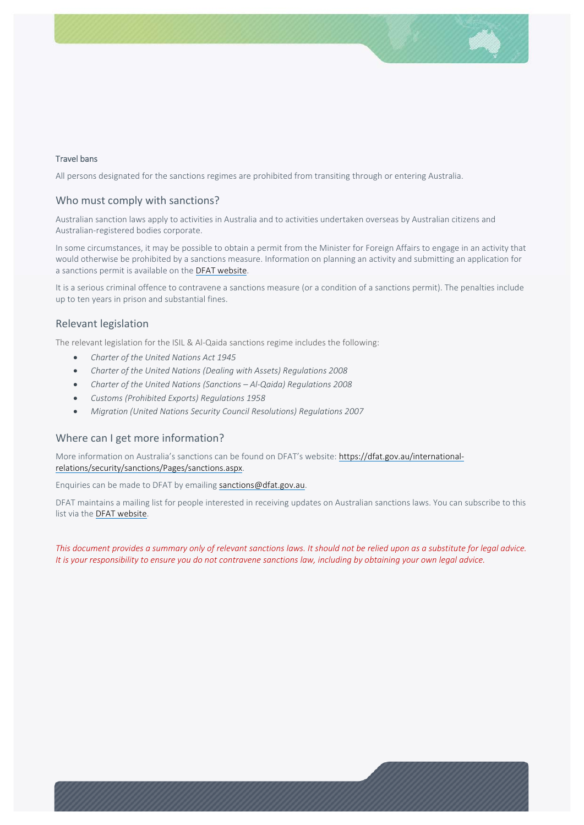### Travel bans

All persons designated for the sanctions regimes are prohibited from transiting through or entering Australia.

## Who must comply with sanctions?

Australian sanction laws apply to activities in Australia and to activities undertaken overseas by Australian citizens and Australian‐registered bodies corporate.

In some circumstances, it may be possible to obtain a permit from the Minister for Foreign Affairs to engage in an activity that would otherwise be prohibited by a sanctions measure. Information on planning an activity and submitting an application for a sanctions permit is available on the DFAT website.

It is a serious criminal offence to contravene a sanctions measure (or a condition of a sanctions permit). The penalties include up to ten years in prison and substantial fines.

## Relevant legislation

The relevant legislation for the ISIL & Al-Qaida sanctions regime includes the following:

- *Charter of the United Nations Act 1945*
- *Charter of the United Nations (Dealing with Assets) Regulations 2008*
- *Charter of the United Nations (Sanctions Al‐Qaida) Regulations 2008*
- *Customs (Prohibited Exports) Regulations 1958*
- *Migration (United Nations Security Council Resolutions) Regulations 2007*

## Where can I get more information?

More information on Australia's sanctions can be found on DFAT's website: https://dfat.gov.au/internationalrelations/security/sanctions/Pages/sanctions.aspx.

Enquiries can be made to DFAT by emailing sanctions@dfat.gov.au.

DFAT maintains a mailing list for people interested in receiving updates on Australian sanctions laws. You can subscribe to this list via the DFAT website.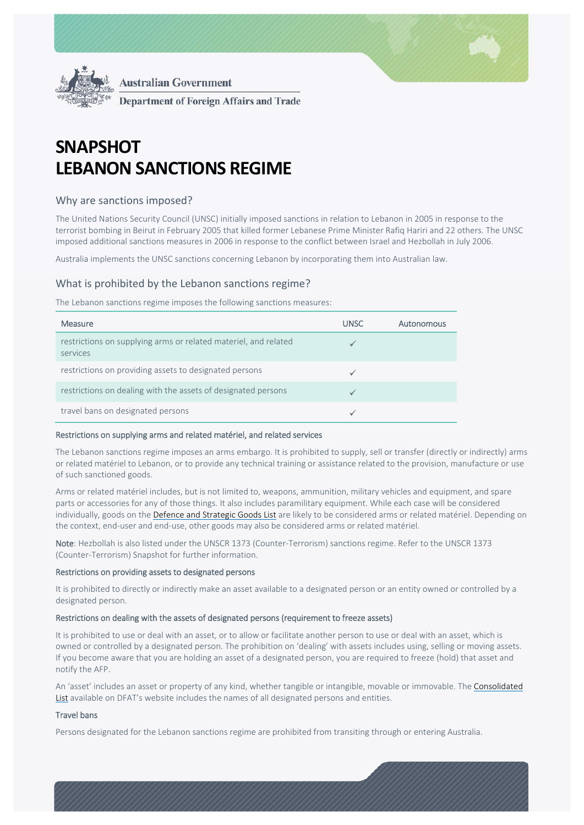

**Australian Government**  $\ddot{\phantom{0}}$ **Department of Foreign Affairs and Trade** 

# **SNAPSHOT LEBANON SANCTIONS REGIME**

# Why are sanctions imposed?

The United Nations Security Council (UNSC) initially imposed sanctions in relation to Lebanon in 2005 in response to the terrorist bombing in Beirut in February 2005 that killed former Lebanese Prime Minister Rafiq Hariri and 22 others. The UNSC imposed additional sanctions measures in 2006 in response to the conflict between Israel and Hezbollah in July 2006.

Australia implements the UNSC sanctions concerning Lebanon by incorporating them into Australian law.

## What is prohibited by the Lebanon sanctions regime?

The Lebanon sanctions regime imposes the following sanctions measures:

| <b>Measure</b>                                                              | <b>UNSC</b> | Autonomous |
|-----------------------------------------------------------------------------|-------------|------------|
| restrictions on supplying arms or related materiel, and related<br>services |             |            |
| restrictions on providing assets to designated persons                      |             |            |
| restrictions on dealing with the assets of designated persons               |             |            |
| travel bans on designated persons                                           |             |            |

#### Restrictions on supplying arms and related matériel, and related services

The Lebanon sanctions regime imposes an arms embargo. It is prohibited to supply, sell or transfer (directly or indirectly) arms or related matériel to Lebanon, or to provide any technical training or assistance related to the provision, manufacture or use of such sanctioned goods.

Arms or related matériel includes, but is not limited to, weapons, ammunition, military vehicles and equipment, and spare parts or accessories for any of those things. It also includes paramilitary equipment. While each case will be considered individually, goods on the Defence and Strategic Goods List are likely to be considered arms or related matériel. Depending on the context, end‐user and end‐use, other goods may also be considered arms or related matériel.

Note: Hezbollah is also listed under the UNSCR 1373 (Counter-Terrorism) sanctions regime. Refer to the UNSCR 1373 (Counter‐Terrorism) Snapshot for further information.

#### Restrictions on providing assets to designated persons

It is prohibited to directly or indirectly make an asset available to a designated person or an entity owned or controlled by a designated person.

## Restrictions on dealing with the assets of designated persons (requirement to freeze assets)

It is prohibited to use or deal with an asset, or to allow or facilitate another person to use or deal with an asset, which is owned or controlled by a designated person. The prohibition on 'dealing' with assets includes using, selling or moving assets. If you become aware that you are holding an asset of a designated person, you are required to freeze (hold) that asset and notify the AFP.

An 'asset' includes an asset or property of any kind, whether tangible or intangible, movable or immovable. The Consolidated List available on DFAT's website includes the names of all designated persons and entities.

## Travel bans

Persons designated for the Lebanon sanctions regime are prohibited from transiting through or entering Australia.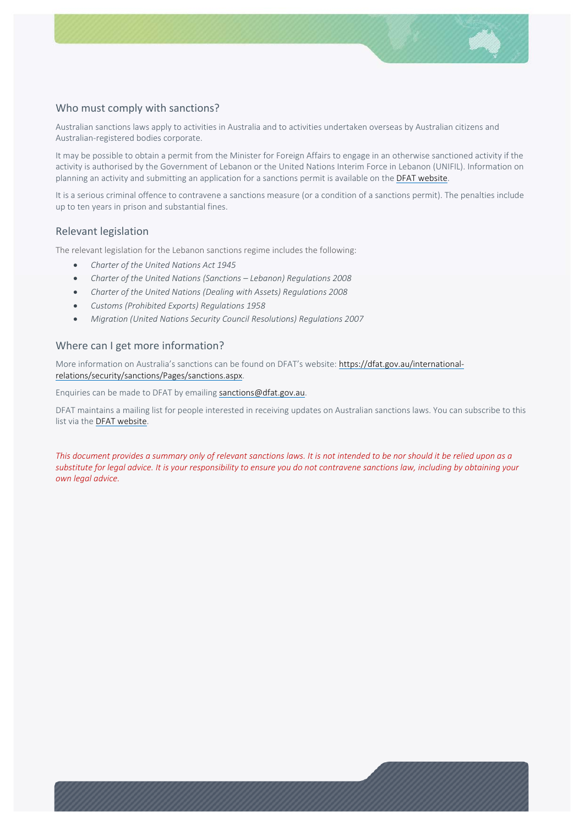# Who must comply with sanctions?

Australian sanctions laws apply to activities in Australia and to activities undertaken overseas by Australian citizens and Australian‐registered bodies corporate.

It may be possible to obtain a permit from the Minister for Foreign Affairs to engage in an otherwise sanctioned activity if the activity is authorised by the Government of Lebanon or the United Nations Interim Force in Lebanon (UNIFIL). Information on planning an activity and submitting an application for a sanctions permit is available on the DFAT website.

It is a serious criminal offence to contravene a sanctions measure (or a condition of a sanctions permit). The penalties include up to ten years in prison and substantial fines.

## Relevant legislation

The relevant legislation for the Lebanon sanctions regime includes the following:

- *Charter of the United Nations Act 1945*
- *Charter of the United Nations (Sanctions Lebanon) Regulations 2008*
- *Charter of the United Nations (Dealing with Assets) Regulations 2008*
- *Customs (Prohibited Exports) Regulations 1958*
- *Migration (United Nations Security Council Resolutions) Regulations 2007*

## Where can I get more information?

More information on Australia's sanctions can be found on DFAT's website: https://dfat.gov.au/internationalrelations/security/sanctions/Pages/sanctions.aspx.

Enquiries can be made to DFAT by emailing sanctions@dfat.gov.au.

DFAT maintains a mailing list for people interested in receiving updates on Australian sanctions laws. You can subscribe to this list via the DFAT website.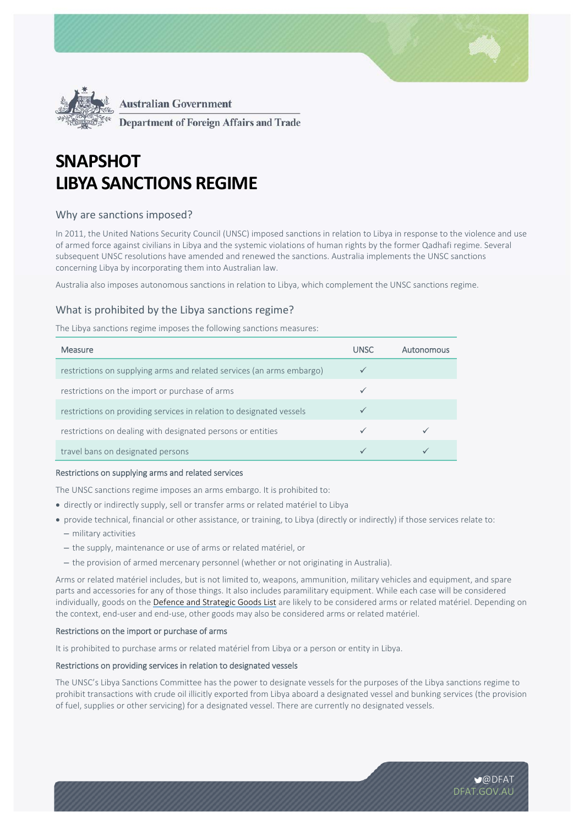



**Department of Foreign Affairs and Trade** 

# **SNAPSHOT LIBYA SANCTIONS REGIME**

# Why are sanctions imposed?

In 2011, the United Nations Security Council (UNSC) imposed sanctions in relation to Libya in response to the violence and use of armed force against civilians in Libya and the systemic violations of human rights by the former Qadhafi regime. Several subsequent UNSC resolutions have amended and renewed the sanctions. Australia implements the UNSC sanctions concerning Libya by incorporating them into Australian law.

Australia also imposes autonomous sanctions in relation to Libya, which complement the UNSC sanctions regime.

# What is prohibited by the Libya sanctions regime?

The Libya sanctions regime imposes the following sanctions measures:

| Measure                                                               | <b>UNSC</b> | Autonomous |
|-----------------------------------------------------------------------|-------------|------------|
| restrictions on supplying arms and related services (an arms embargo) |             |            |
| restrictions on the import or purchase of arms                        |             |            |
| restrictions on providing services in relation to designated vessels  |             |            |
| restrictions on dealing with designated persons or entities           |             |            |
| travel bans on designated persons                                     |             |            |

#### Restrictions on supplying arms and related services

The UNSC sanctions regime imposes an arms embargo. It is prohibited to:

- directly or indirectly supply, sell or transfer arms or related matériel to Libya
- provide technical, financial or other assistance, or training, to Libya (directly or indirectly) if those services relate to:
	- military activities
	- the supply, maintenance or use of arms or related matériel, or
	- the provision of armed mercenary personnel (whether or not originating in Australia).

Arms or related matériel includes, but is not limited to, weapons, ammunition, military vehicles and equipment, and spare parts and accessories for any of those things. It also includes paramilitary equipment. While each case will be considered individually, goods on the Defence and Strategic Goods List are likely to be considered arms or related matériel. Depending on the context, end‐user and end‐use, other goods may also be considered arms or related matériel.

#### Restrictions on the import or purchase of arms

It is prohibited to purchase arms or related matériel from Libya or a person or entity in Libya.

## Restrictions on providing services in relation to designated vessels

The UNSC's Libya Sanctions Committee has the power to designate vessels for the purposes of the Libya sanctions regime to prohibit transactions with crude oil illicitly exported from Libya aboard a designated vessel and bunking services (the provision of fuel, supplies or other servicing) for a designated vessel. There are currently no designated vessels.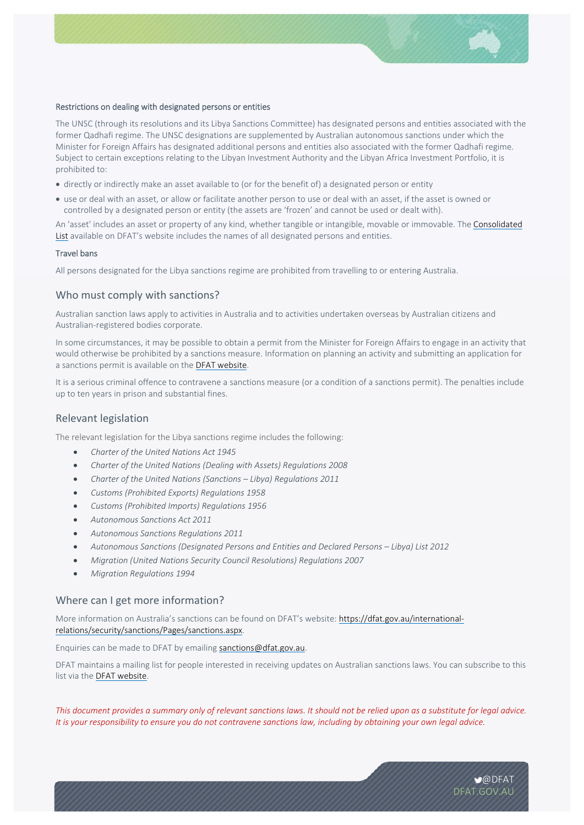

#### Restrictions on dealing with designated persons or entities

The UNSC (through its resolutions and its Libya Sanctions Committee) has designated persons and entities associated with the former Qadhafi regime. The UNSC designations are supplemented by Australian autonomous sanctions under which the Minister for Foreign Affairs has designated additional persons and entities also associated with the former Qadhafi regime. Subject to certain exceptions relating to the Libyan Investment Authority and the Libyan Africa Investment Portfolio, it is prohibited to:

- directly or indirectly make an asset available to (or for the benefit of) a designated person or entity
- use or deal with an asset, or allow or facilitate another person to use or deal with an asset, if the asset is owned or controlled by a designated person or entity (the assets are 'frozen' and cannot be used or dealt with).

An 'asset' includes an asset or property of any kind, whether tangible or intangible, movable or immovable. The Consolidated List available on DFAT's website includes the names of all designated persons and entities.

### Travel bans

All persons designated for the Libya sanctions regime are prohibited from travelling to or entering Australia.

## Who must comply with sanctions?

Australian sanction laws apply to activities in Australia and to activities undertaken overseas by Australian citizens and Australian‐registered bodies corporate.

In some circumstances, it may be possible to obtain a permit from the Minister for Foreign Affairs to engage in an activity that would otherwise be prohibited by a sanctions measure. Information on planning an activity and submitting an application for a sanctions permit is available on the DFAT website.

It is a serious criminal offence to contravene a sanctions measure (or a condition of a sanctions permit). The penalties include up to ten years in prison and substantial fines.

## Relevant legislation

The relevant legislation for the Libya sanctions regime includes the following:

- *Charter of the United Nations Act 1945*
- *Charter of the United Nations (Dealing with Assets) Regulations 2008*
- *Charter of the United Nations (Sanctions Libya) Regulations 2011*
- *Customs (Prohibited Exports) Regulations 1958*
- *Customs (Prohibited Imports) Regulations 1956*
- *Autonomous Sanctions Act 2011*
- *Autonomous Sanctions Regulations 2011*
- *Autonomous Sanctions (Designated Persons and Entities and Declared Persons Libya) List 2012*
- *Migration (United Nations Security Council Resolutions) Regulations 2007*
- *Migration Regulations 1994*

#### Where can I get more information?

More information on Australia's sanctions can be found on DFAT's website: https://dfat.gov.au/internationalrelations/security/sanctions/Pages/sanctions.aspx.

Enquiries can be made to DFAT by emailing sanctions@dfat.gov.au.

DFAT maintains a mailing list for people interested in receiving updates on Australian sanctions laws. You can subscribe to this list via the DFAT website.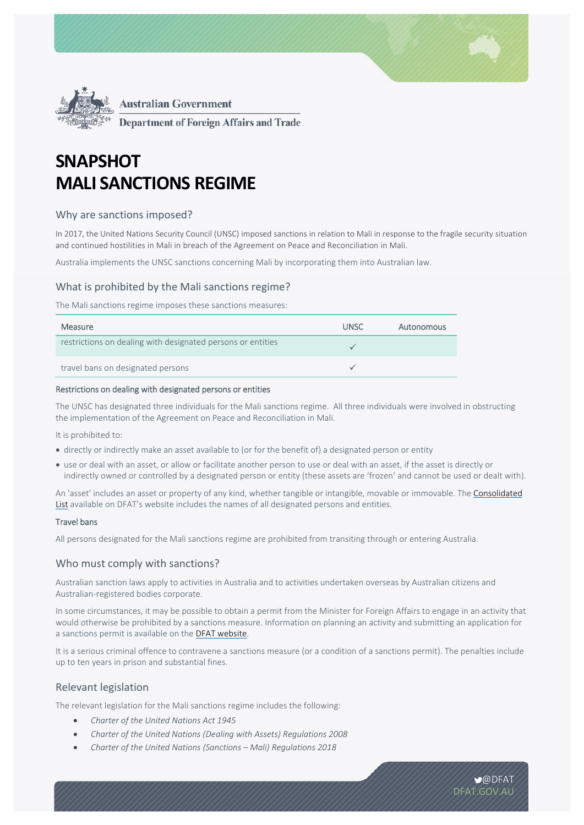



**Department of Foreign Affairs and Trade** 

# **SNAPSHOT MALI SANCTIONS REGIME**

# Why are sanctions imposed?

In 2017, the United Nations Security Council (UNSC) imposed sanctions in relation to Mali in response to the fragile security situation and continued hostilities in Mali in breach of the Agreement on Peace and Reconciliation in Mali.

Australia implements the UNSC sanctions concerning Mali by incorporating them into Australian law.

# What is prohibited by the Mali sanctions regime?

The Mali sanctions regime imposes these sanctions measures:

| <b>Measure</b>                                              | UNSC. | Autonomous |
|-------------------------------------------------------------|-------|------------|
| restrictions on dealing with designated persons or entities |       |            |
| travel bans on designated persons                           |       |            |

#### Restrictions on dealing with designated persons or entities

The UNSC has designated three individuals for the Mali sanctions regime. All three individuals were involved in obstructing the implementation of the Agreement on Peace and Reconciliation in Mali.

It is prohibited to:

- directly or indirectly make an asset available to (or for the benefit of) a designated person or entity
- use or deal with an asset, or allow or facilitate another person to use or deal with an asset, if the asset is directly or indirectly owned or controlled by a designated person or entity (these assets are 'frozen' and cannot be used or dealt with).

An 'asset' includes an asset or property of any kind, whether tangible or intangible, movable or immovable. The Consolidated List available on DFAT's website includes the names of all designated persons and entities.

#### Travel bans

All persons designated for the Mali sanctions regime are prohibited from transiting through or entering Australia.

## Who must comply with sanctions?

Australian sanction laws apply to activities in Australia and to activities undertaken overseas by Australian citizens and Australian‐registered bodies corporate.

In some circumstances, it may be possible to obtain a permit from the Minister for Foreign Affairs to engage in an activity that would otherwise be prohibited by a sanctions measure. Information on planning an activity and submitting an application for a sanctions permit is available on the DFAT website.

It is a serious criminal offence to contravene a sanctions measure (or a condition of a sanctions permit). The penalties include up to ten years in prison and substantial fines.

# Relevant legislation

The relevant legislation for the Mali sanctions regime includes the following:

- *Charter of the United Nations Act 1945*
- *Charter of the United Nations (Dealing with Assets) Regulations 2008*
- *Charter of the United Nations (Sanctions Mali) Regulations 2018*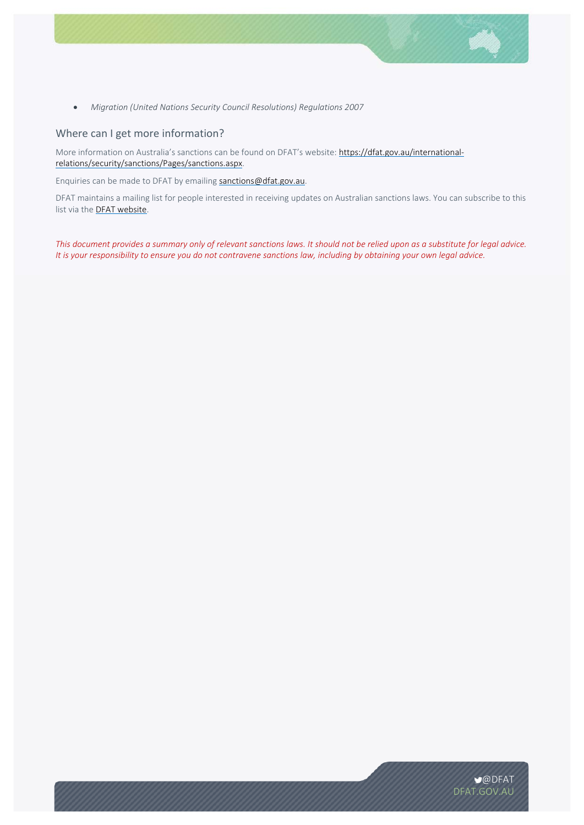

*Migration (United Nations Security Council Resolutions) Regulations 2007*

## Where can I get more information?

More information on Australia's sanctions can be found on DFAT's website: https://dfat.gov.au/internationalrelations/security/sanctions/Pages/sanctions.aspx.

Enquiries can be made to DFAT by emailing sanctions@dfat.gov.au.

DFAT maintains a mailing list for people interested in receiving updates on Australian sanctions laws. You can subscribe to this list via the DFAT website.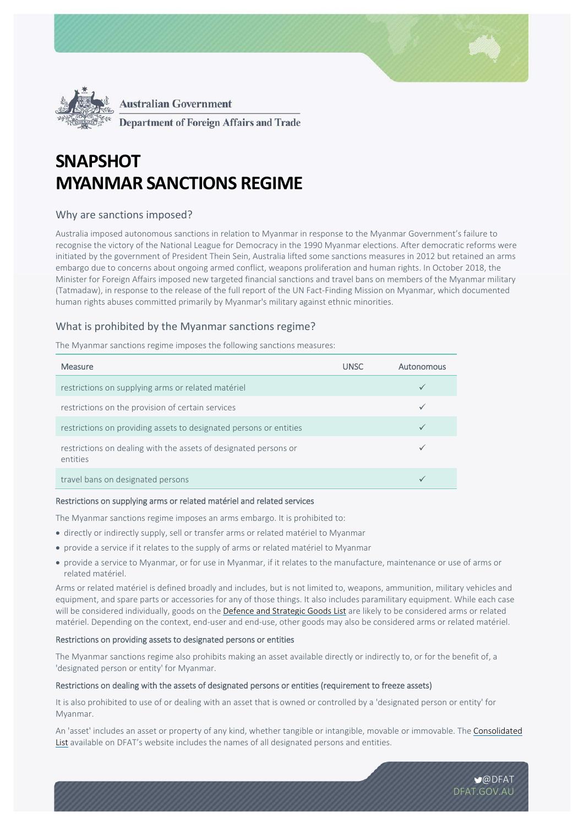

**Department of Foreign Affairs and Trade** 

# **SNAPSHOT MYANMAR SANCTIONS REGIME**

# Why are sanctions imposed?

Australia imposed autonomous sanctions in relation to Myanmar in response to the Myanmar Government's failure to recognise the victory of the National League for Democracy in the 1990 Myanmar elections. After democratic reforms were initiated by the government of President Thein Sein, Australia lifted some sanctions measures in 2012 but retained an arms embargo due to concerns about ongoing armed conflict, weapons proliferation and human rights. In October 2018, the Minister for Foreign Affairs imposed new targeted financial sanctions and travel bans on members of the Myanmar military (Tatmadaw), in response to the release of the full report of the UN Fact‐Finding Mission on Myanmar, which documented human rights abuses committed primarily by Myanmar's military against ethnic minorities.

# What is prohibited by the Myanmar sanctions regime?

The Myanmar sanctions regime imposes the following sanctions measures:

| Measure                                                                      | <b>UNSC</b> | Autonomous |
|------------------------------------------------------------------------------|-------------|------------|
| restrictions on supplying arms or related matériel                           |             |            |
| restrictions on the provision of certain services                            |             | ✓          |
| restrictions on providing assets to designated persons or entities           |             |            |
| restrictions on dealing with the assets of designated persons or<br>entities |             |            |
| travel bans on designated persons                                            |             |            |

#### Restrictions on supplying arms or related matériel and related services

The Myanmar sanctions regime imposes an arms embargo. It is prohibited to:

- directly or indirectly supply, sell or transfer arms or related matériel to Myanmar
- provide a service if it relates to the supply of arms or related matériel to Myanmar
- provide a service to Myanmar, or for use in Myanmar, if it relates to the manufacture, maintenance or use of arms or related matériel.

Arms or related matériel is defined broadly and includes, but is not limited to, weapons, ammunition, military vehicles and equipment, and spare parts or accessories for any of those things. It also includes paramilitary equipment. While each case will be considered individually, goods on the Defence and Strategic Goods List are likely to be considered arms or related matériel. Depending on the context, end-user and end-use, other goods may also be considered arms or related matériel.

#### Restrictions on providing assets to designated persons or entities

The Myanmar sanctions regime also prohibits making an asset available directly or indirectly to, or for the benefit of, a 'designated person or entity' for Myanmar.

#### Restrictions on dealing with the assets of designated persons or entities (requirement to freeze assets)

It is also prohibited to use of or dealing with an asset that is owned or controlled by a 'designated person or entity' for Myanmar.

An 'asset' includes an asset or property of any kind, whether tangible or intangible, movable or immovable. The Consolidated List available on DFAT's website includes the names of all designated persons and entities.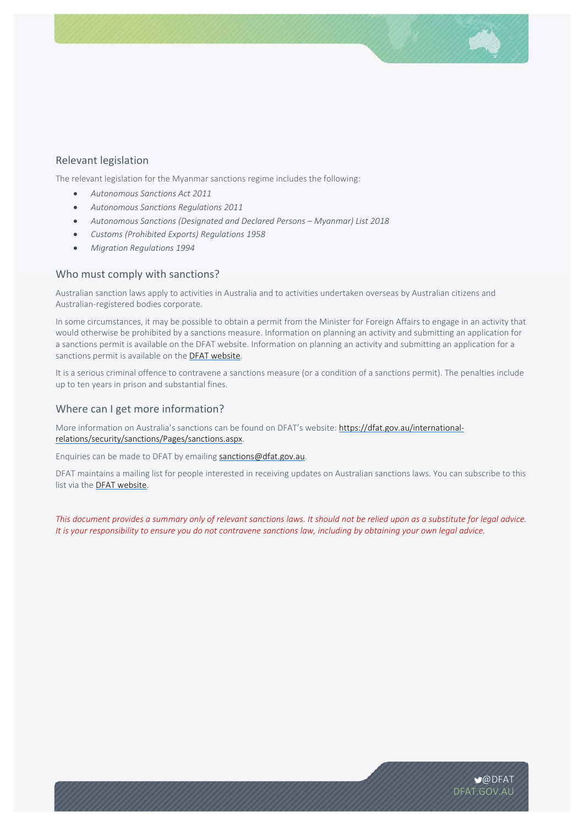# Relevant legislation

The relevant legislation for the Myanmar sanctions regime includes the following:

- *Autonomous Sanctions Act 2011*
- *Autonomous Sanctions Regulations 2011*
- *Autonomous Sanctions (Designated and Declared Persons Myanmar) List 2018*
- *Customs (Prohibited Exports) Regulations 1958*
- *Migration Regulations 1994*

## Who must comply with sanctions?

Australian sanction laws apply to activities in Australia and to activities undertaken overseas by Australian citizens and Australian‐registered bodies corporate.

In some circumstances, it may be possible to obtain a permit from the Minister for Foreign Affairs to engage in an activity that would otherwise be prohibited by a sanctions measure. Information on planning an activity and submitting an application for a sanctions permit is available on the DFAT website. Information on planning an activity and submitting an application for a sanctions permit is available on the **DFAT website**.

It is a serious criminal offence to contravene a sanctions measure (or a condition of a sanctions permit). The penalties include up to ten years in prison and substantial fines.

## Where can I get more information?

More information on Australia's sanctions can be found on DFAT's website: https://dfat.gov.au/internationalrelations/security/sanctions/Pages/sanctions.aspx.

Enquiries can be made to DFAT by emailing sanctions@dfat.gov.au.

DFAT maintains a mailing list for people interested in receiving updates on Australian sanctions laws. You can subscribe to this list via the DFAT website.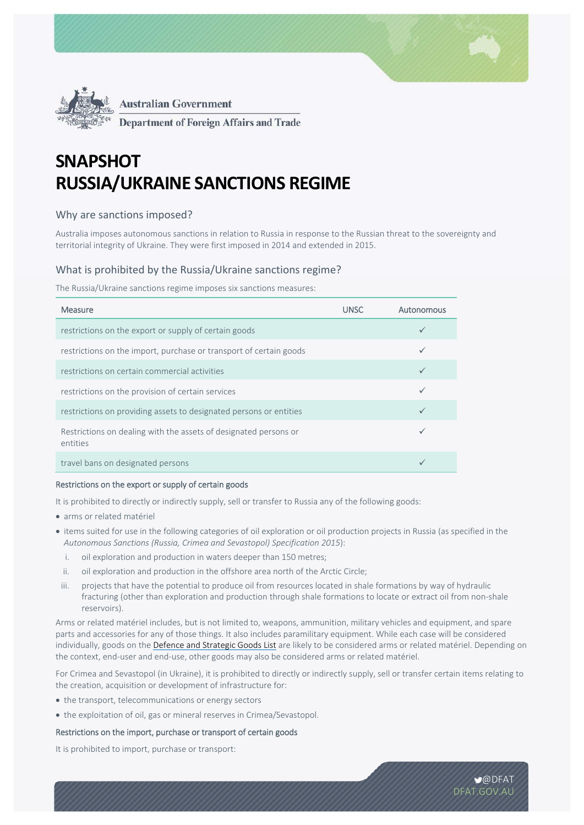



**Department of Foreign Affairs and Trade** 

# **SNAPSHOT RUSSIA/UKRAINE SANCTIONS REGIME**

# Why are sanctions imposed?

Australia imposes autonomous sanctions in relation to Russia in response to the Russian threat to the sovereignty and territorial integrity of Ukraine. They were first imposed in 2014 and extended in 2015.

# What is prohibited by the Russia/Ukraine sanctions regime?

The Russia/Ukraine sanctions regime imposes six sanctions measures:

| <b>Measure</b>                                                               | <b>UNSC</b> | Autonomous   |
|------------------------------------------------------------------------------|-------------|--------------|
| restrictions on the export or supply of certain goods                        |             |              |
| restrictions on the import, purchase or transport of certain goods           |             | $\checkmark$ |
| restrictions on certain commercial activities                                |             |              |
| restrictions on the provision of certain services                            |             |              |
| restrictions on providing assets to designated persons or entities           |             | $\checkmark$ |
| Restrictions on dealing with the assets of designated persons or<br>entities |             |              |
| travel bans on designated persons                                            |             |              |

## Restrictions on the export or supply of certain goods

It is prohibited to directly or indirectly supply, sell or transfer to Russia any of the following goods:

- arms or related matériel
- items suited for use in the following categories of oil exploration or oil production projects in Russia (as specified in the *Autonomous Sanctions (Russia, Crimea and Sevastopol) Specification 2015*):
	- i. oil exploration and production in waters deeper than 150 metres;
	- ii. oil exploration and production in the offshore area north of the Arctic Circle;
- iii. projects that have the potential to produce oil from resources located in shale formations by way of hydraulic fracturing (other than exploration and production through shale formations to locate or extract oil from non-shale reservoirs).

Arms or related matériel includes, but is not limited to, weapons, ammunition, military vehicles and equipment, and spare parts and accessories for any of those things. It also includes paramilitary equipment. While each case will be considered individually, goods on the Defence and Strategic Goods List are likely to be considered arms or related matériel. Depending on the context, end‐user and end‐use, other goods may also be considered arms or related matériel.

For Crimea and Sevastopol (in Ukraine), it is prohibited to directly or indirectly supply, sell or transfer certain items relating to the creation, acquisition or development of infrastructure for:

- the transport, telecommunications or energy sectors
- the exploitation of oil, gas or mineral reserves in Crimea/Sevastopol.

## Restrictions on the import, purchase or transport of certain goods

It is prohibited to import, purchase or transport: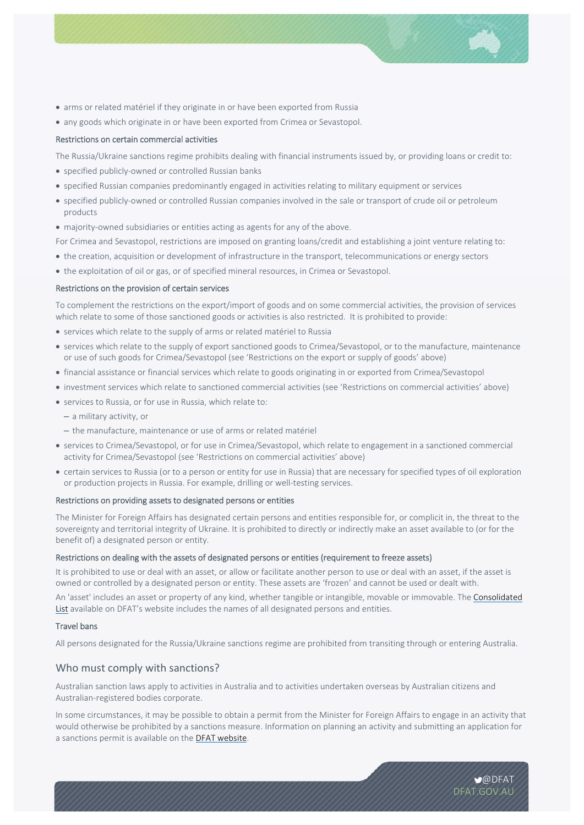- arms or related matériel if they originate in or have been exported from Russia
- any goods which originate in or have been exported from Crimea or Sevastopol.

### Restrictions on certain commercial activities

The Russia/Ukraine sanctions regime prohibits dealing with financial instruments issued by, or providing loans or credit to:

- specified publicly-owned or controlled Russian banks
- specified Russian companies predominantly engaged in activities relating to military equipment or services
- specified publicly-owned or controlled Russian companies involved in the sale or transport of crude oil or petroleum products
- majority-owned subsidiaries or entities acting as agents for any of the above.

For Crimea and Sevastopol, restrictions are imposed on granting loans/credit and establishing a joint venture relating to:

- the creation, acquisition or development of infrastructure in the transport, telecommunications or energy sectors
- the exploitation of oil or gas, or of specified mineral resources, in Crimea or Sevastopol.

#### Restrictions on the provision of certain services

To complement the restrictions on the export/import of goods and on some commercial activities, the provision of services which relate to some of those sanctioned goods or activities is also restricted. It is prohibited to provide:

- services which relate to the supply of arms or related matériel to Russia
- services which relate to the supply of export sanctioned goods to Crimea/Sevastopol, or to the manufacture, maintenance or use of such goods for Crimea/Sevastopol (see 'Restrictions on the export or supply of goods' above)
- financial assistance or financial services which relate to goods originating in or exported from Crimea/Sevastopol
- investment services which relate to sanctioned commercial activities (see 'Restrictions on commercial activities' above)
- services to Russia, or for use in Russia, which relate to:
	- a military activity, or
	- the manufacture, maintenance or use of arms or related matériel
- services to Crimea/Sevastopol, or for use in Crimea/Sevastopol, which relate to engagement in a sanctioned commercial activity for Crimea/Sevastopol (see 'Restrictions on commercial activities' above)
- certain services to Russia (or to a person or entity for use in Russia) that are necessary for specified types of oil exploration or production projects in Russia. For example, drilling or well‐testing services.

### Restrictions on providing assets to designated persons or entities

The Minister for Foreign Affairs has designated certain persons and entities responsible for, or complicit in, the threat to the sovereignty and territorial integrity of Ukraine. It is prohibited to directly or indirectly make an asset available to (or for the benefit of) a designated person or entity.

#### Restrictions on dealing with the assets of designated persons or entities (requirement to freeze assets)

It is prohibited to use or deal with an asset, or allow or facilitate another person to use or deal with an asset, if the asset is owned or controlled by a designated person or entity. These assets are 'frozen' and cannot be used or dealt with.

An 'asset' includes an asset or property of any kind, whether tangible or intangible, movable or immovable. The Consolidated List available on DFAT's website includes the names of all designated persons and entities.

#### Travel bans

All persons designated for the Russia/Ukraine sanctions regime are prohibited from transiting through or entering Australia.

#### Who must comply with sanctions?

Australian sanction laws apply to activities in Australia and to activities undertaken overseas by Australian citizens and Australian‐registered bodies corporate.

In some circumstances, it may be possible to obtain a permit from the Minister for Foreign Affairs to engage in an activity that would otherwise be prohibited by a sanctions measure. Information on planning an activity and submitting an application for a sanctions permit is available on the DFAT website.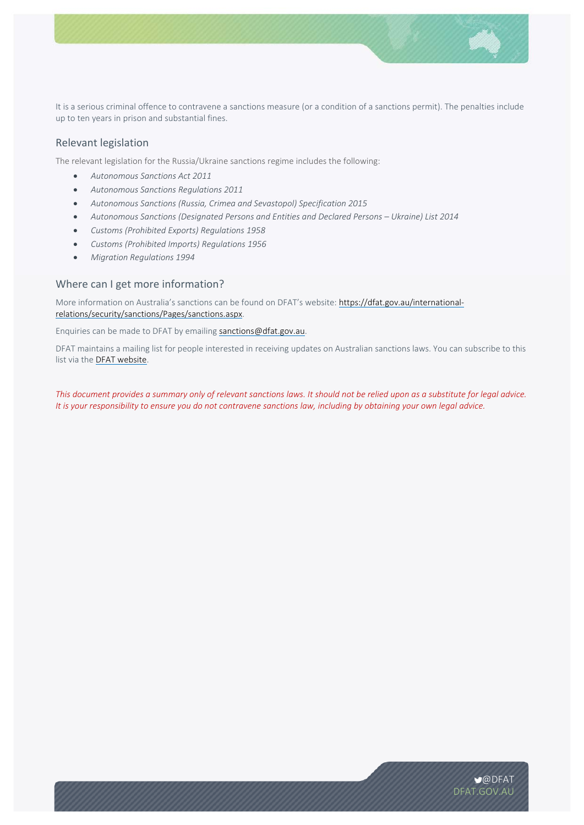

It is a serious criminal offence to contravene a sanctions measure (or a condition of a sanctions permit). The penalties include up to ten years in prison and substantial fines.

# Relevant legislation

The relevant legislation for the Russia/Ukraine sanctions regime includes the following:

- *Autonomous Sanctions Act 2011*
- *Autonomous Sanctions Regulations 2011*
- *Autonomous Sanctions (Russia, Crimea and Sevastopol) Specification 2015*
- *Autonomous Sanctions (Designated Persons and Entities and Declared Persons Ukraine) List 2014*
- *Customs (Prohibited Exports) Regulations 1958*
- *Customs (Prohibited Imports) Regulations 1956*
- *Migration Regulations 1994*

## Where can I get more information?

More information on Australia's sanctions can be found on DFAT's website: https://dfat.gov.au/internationalrelations/security/sanctions/Pages/sanctions.aspx.

Enquiries can be made to DFAT by emailing sanctions@dfat.gov.au.

DFAT maintains a mailing list for people interested in receiving updates on Australian sanctions laws. You can subscribe to this list via the DFAT website.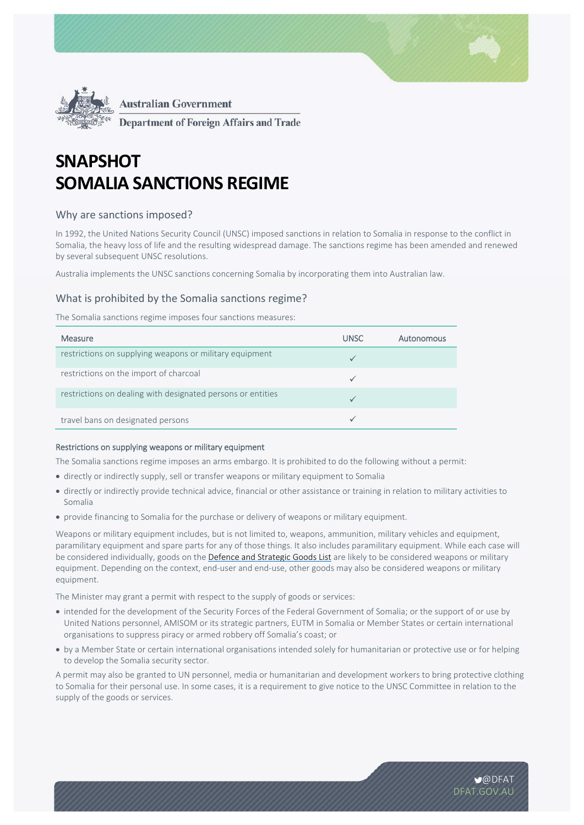



**Department of Foreign Affairs and Trade** 

# **SNAPSHOT SOMALIA SANCTIONS REGIME**

# Why are sanctions imposed?

In 1992, the United Nations Security Council (UNSC) imposed sanctions in relation to Somalia in response to the conflict in Somalia, the heavy loss of life and the resulting widespread damage. The sanctions regime has been amended and renewed by several subsequent UNSC resolutions.

Australia implements the UNSC sanctions concerning Somalia by incorporating them into Australian law.

# What is prohibited by the Somalia sanctions regime?

The Somalia sanctions regime imposes four sanctions measures:

| Measure                                                     | <b>UNSC</b> | Autonomous |
|-------------------------------------------------------------|-------------|------------|
| restrictions on supplying weapons or military equipment     |             |            |
| restrictions on the import of charcoal                      |             |            |
| restrictions on dealing with designated persons or entities |             |            |
| travel bans on designated persons                           |             |            |

#### Restrictions on supplying weapons or military equipment

The Somalia sanctions regime imposes an arms embargo. It is prohibited to do the following without a permit:

- directly or indirectly supply, sell or transfer weapons or military equipment to Somalia
- directly or indirectly provide technical advice, financial or other assistance or training in relation to military activities to Somalia
- provide financing to Somalia for the purchase or delivery of weapons or military equipment.

Weapons or military equipment includes, but is not limited to, weapons, ammunition, military vehicles and equipment, paramilitary equipment and spare parts for any of those things. It also includes paramilitary equipment. While each case will be considered individually, goods on the Defence and Strategic Goods List are likely to be considered weapons or military equipment. Depending on the context, end-user and end-use, other goods may also be considered weapons or military equipment.

The Minister may grant a permit with respect to the supply of goods or services:

- intended for the development of the Security Forces of the Federal Government of Somalia; or the support of or use by United Nations personnel, AMISOM or its strategic partners, EUTM in Somalia or Member States or certain international organisations to suppress piracy or armed robbery off Somalia's coast; or
- by a Member State or certain international organisations intended solely for humanitarian or protective use or for helping to develop the Somalia security sector.

A permit may also be granted to UN personnel, media or humanitarian and development workers to bring protective clothing to Somalia for their personal use. In some cases, it is a requirement to give notice to the UNSC Committee in relation to the supply of the goods or services.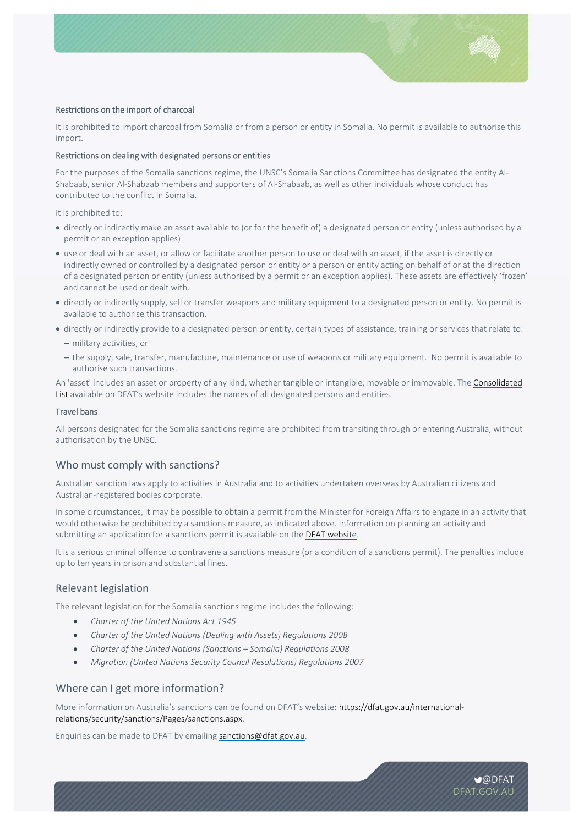

### Restrictions on the import of charcoal

It is prohibited to import charcoal from Somalia or from a person or entity in Somalia. No permit is available to authorise this import.

#### Restrictions on dealing with designated persons or entities

For the purposes of the Somalia sanctions regime, the UNSC's Somalia Sanctions Committee has designated the entity Al-Shabaab, senior Al‐Shabaab members and supporters of Al‐Shabaab, as well as other individuals whose conduct has contributed to the conflict in Somalia.

It is prohibited to:

- directly or indirectly make an asset available to (or for the benefit of) a designated person or entity (unless authorised by a permit or an exception applies)
- use or deal with an asset, or allow or facilitate another person to use or deal with an asset, if the asset is directly or indirectly owned or controlled by a designated person or entity or a person or entity acting on behalf of or at the direction of a designated person or entity (unless authorised by a permit or an exception applies). These assets are effectively 'frozen' and cannot be used or dealt with.
- directly or indirectly supply, sell or transfer weapons and military equipment to a designated person or entity. No permit is available to authorise this transaction.
- directly or indirectly provide to a designated person or entity, certain types of assistance, training or services that relate to: – military activities, or
	- the supply, sale, transfer, manufacture, maintenance or use of weapons or military equipment. No permit is available to authorise such transactions.

An 'asset' includes an asset or property of any kind, whether tangible or intangible, movable or immovable. The Consolidated List available on DFAT's website includes the names of all designated persons and entities.

#### Travel bans

All persons designated for the Somalia sanctions regime are prohibited from transiting through or entering Australia, without authorisation by the UNSC.

## Who must comply with sanctions?

Australian sanction laws apply to activities in Australia and to activities undertaken overseas by Australian citizens and Australian‐registered bodies corporate.

In some circumstances, it may be possible to obtain a permit from the Minister for Foreign Affairs to engage in an activity that would otherwise be prohibited by a sanctions measure, as indicated above. Information on planning an activity and submitting an application for a sanctions permit is available on the DFAT website.

It is a serious criminal offence to contravene a sanctions measure (or a condition of a sanctions permit). The penalties include up to ten years in prison and substantial fines.

## Relevant legislation

The relevant legislation for the Somalia sanctions regime includes the following:

- *Charter of the United Nations Act 1945*
- *Charter of the United Nations (Dealing with Assets) Regulations 2008*
- *Charter of the United Nations (Sanctions Somalia) Regulations 2008*
- *Migration (United Nations Security Council Resolutions) Regulations 2007*

## Where can I get more information?

More information on Australia's sanctions can be found on DFAT's website: https://dfat.gov.au/internationalrelations/security/sanctions/Pages/sanctions.aspx.

Enquiries can be made to DFAT by emailing sanctions@dfat.gov.au.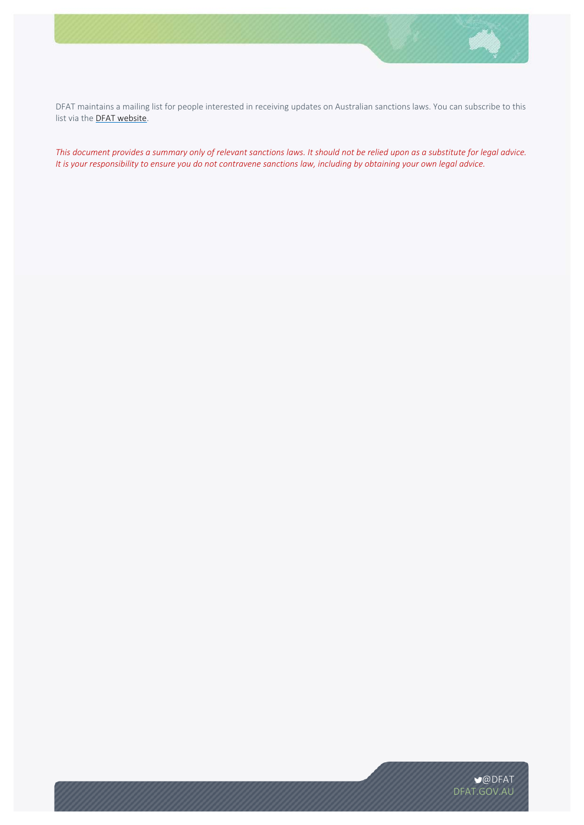

DFAT maintains a mailing list for people interested in receiving updates on Australian sanctions laws. You can subscribe to this list via the **DFAT website**.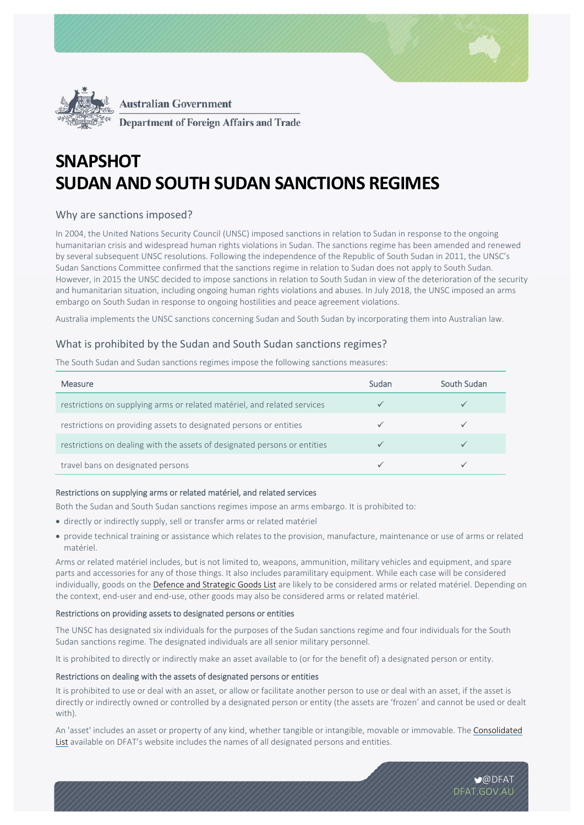



**Department of Foreign Affairs and Trade** 

# **SNAPSHOT SUDAN AND SOUTH SUDAN SANCTIONS REGIMES**

# Why are sanctions imposed?

In 2004, the United Nations Security Council (UNSC) imposed sanctions in relation to Sudan in response to the ongoing humanitarian crisis and widespread human rights violations in Sudan. The sanctions regime has been amended and renewed by several subsequent UNSC resolutions. Following the independence of the Republic of South Sudan in 2011, the UNSC's Sudan Sanctions Committee confirmed that the sanctions regime in relation to Sudan does not apply to South Sudan. However, in 2015 the UNSC decided to impose sanctions in relation to South Sudan in view of the deterioration of the security and humanitarian situation, including ongoing human rights violations and abuses. In July 2018, the UNSC imposed an arms embargo on South Sudan in response to ongoing hostilities and peace agreement violations.

Australia implements the UNSC sanctions concerning Sudan and South Sudan by incorporating them into Australian law.

# What is prohibited by the Sudan and South Sudan sanctions regimes?

The South Sudan and Sudan sanctions regimes impose the following sanctions measures:

| Measure                                                                   | Sudan | South Sudan |
|---------------------------------------------------------------------------|-------|-------------|
| restrictions on supplying arms or related matériel, and related services  |       |             |
| restrictions on providing assets to designated persons or entities        |       |             |
| restrictions on dealing with the assets of designated persons or entities |       |             |
| travel bans on designated persons                                         |       |             |

## Restrictions on supplying arms or related matériel, and related services

Both the Sudan and South Sudan sanctions regimes impose an arms embargo. It is prohibited to:

- directly or indirectly supply, sell or transfer arms or related matériel
- provide technical training or assistance which relates to the provision, manufacture, maintenance or use of arms or related matériel.

Arms or related matériel includes, but is not limited to, weapons, ammunition, military vehicles and equipment, and spare parts and accessories for any of those things. It also includes paramilitary equipment. While each case will be considered individually, goods on the Defence and Strategic Goods List are likely to be considered arms or related matériel. Depending on the context, end‐user and end‐use, other goods may also be considered arms or related matériel.

#### Restrictions on providing assets to designated persons or entities

The UNSC has designated six individuals for the purposes of the Sudan sanctions regime and four individuals for the South Sudan sanctions regime. The designated individuals are all senior military personnel.

It is prohibited to directly or indirectly make an asset available to (or for the benefit of) a designated person or entity.

#### Restrictions on dealing with the assets of designated persons or entities

It is prohibited to use or deal with an asset, or allow or facilitate another person to use or deal with an asset, if the asset is directly or indirectly owned or controlled by a designated person or entity (the assets are 'frozen' and cannot be used or dealt with).

An 'asset' includes an asset or property of any kind, whether tangible or intangible, movable or immovable. The Consolidated List available on DFAT's website includes the names of all designated persons and entities.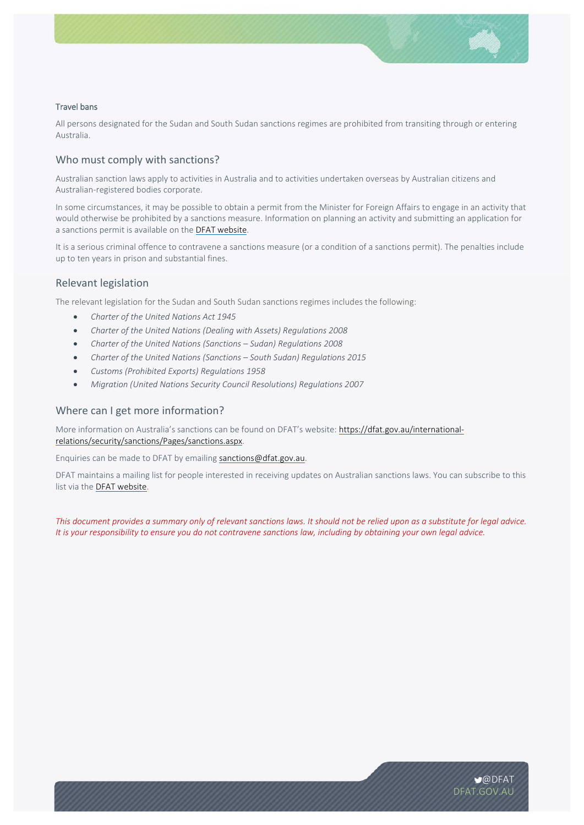### Travel bans

All persons designated for the Sudan and South Sudan sanctions regimes are prohibited from transiting through or entering Australia.

# Who must comply with sanctions?

Australian sanction laws apply to activities in Australia and to activities undertaken overseas by Australian citizens and Australian‐registered bodies corporate.

In some circumstances, it may be possible to obtain a permit from the Minister for Foreign Affairs to engage in an activity that would otherwise be prohibited by a sanctions measure. Information on planning an activity and submitting an application for a sanctions permit is available on the DFAT website.

It is a serious criminal offence to contravene a sanctions measure (or a condition of a sanctions permit). The penalties include up to ten years in prison and substantial fines.

## Relevant legislation

The relevant legislation for the Sudan and South Sudan sanctions regimes includes the following:

- *Charter of the United Nations Act 1945*
- *Charter of the United Nations (Dealing with Assets) Regulations 2008*
- *Charter of the United Nations (Sanctions Sudan) Regulations 2008*
- *Charter of the United Nations (Sanctions South Sudan) Regulations 2015*
- *Customs (Prohibited Exports) Regulations 1958*
- *Migration (United Nations Security Council Resolutions) Regulations 2007*

## Where can I get more information?

More information on Australia's sanctions can be found on DFAT's website: https://dfat.gov.au/internationalrelations/security/sanctions/Pages/sanctions.aspx.

Enquiries can be made to DFAT by emailing sanctions@dfat.gov.au.

DFAT maintains a mailing list for people interested in receiving updates on Australian sanctions laws. You can subscribe to this list via the DFAT website.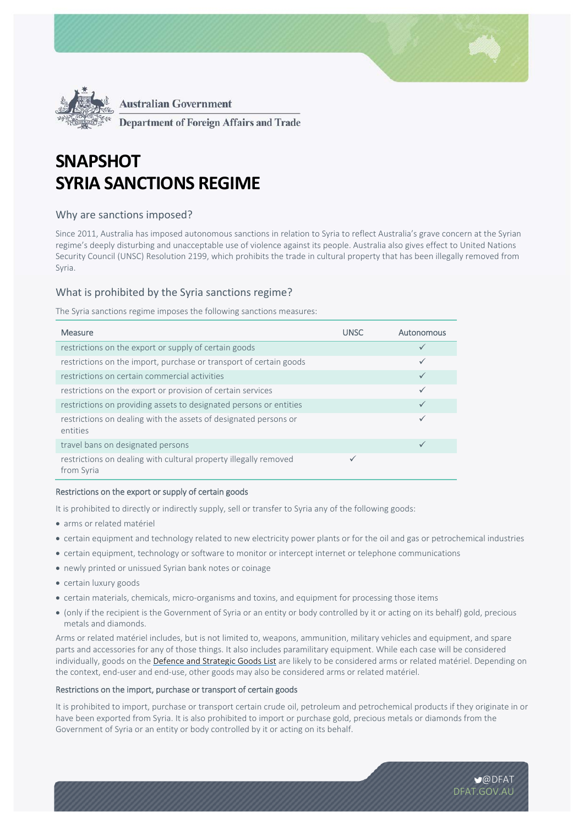

**Department of Foreign Affairs and Trade** 

# **SNAPSHOT SYRIA SANCTIONS REGIME**

## Why are sanctions imposed?

Since 2011, Australia has imposed autonomous sanctions in relation to Syria to reflect Australia's grave concern at the Syrian regime's deeply disturbing and unacceptable use of violence against its people. Australia also gives effect to United Nations Security Council (UNSC) Resolution 2199, which prohibits the trade in cultural property that has been illegally removed from Syria.

# What is prohibited by the Syria sanctions regime?

The Syria sanctions regime imposes the following sanctions measures:

| Measure                                                                        | <b>UNSC</b> | Autonomous   |
|--------------------------------------------------------------------------------|-------------|--------------|
| restrictions on the export or supply of certain goods                          |             | $\checkmark$ |
| restrictions on the import, purchase or transport of certain goods             |             | $\checkmark$ |
| restrictions on certain commercial activities                                  |             | $\checkmark$ |
| restrictions on the export or provision of certain services                    |             | $\checkmark$ |
| restrictions on providing assets to designated persons or entities             |             | $\checkmark$ |
| restrictions on dealing with the assets of designated persons or<br>entities   |             | $\checkmark$ |
| travel bans on designated persons                                              |             | ✓            |
| restrictions on dealing with cultural property illegally removed<br>from Syria |             |              |

#### Restrictions on the export or supply of certain goods

It is prohibited to directly or indirectly supply, sell or transfer to Syria any of the following goods:

- arms or related matériel
- certain equipment and technology related to new electricity power plants or for the oil and gas or petrochemical industries
- certain equipment, technology or software to monitor or intercept internet or telephone communications
- newly printed or unissued Syrian bank notes or coinage
- certain luxury goods
- certain materials, chemicals, micro-organisms and toxins, and equipment for processing those items
- (only if the recipient is the Government of Syria or an entity or body controlled by it or acting on its behalf) gold, precious metals and diamonds.

Arms or related matériel includes, but is not limited to, weapons, ammunition, military vehicles and equipment, and spare parts and accessories for any of those things. It also includes paramilitary equipment. While each case will be considered individually, goods on the Defence and Strategic Goods List are likely to be considered arms or related matériel. Depending on the context, end‐user and end‐use, other goods may also be considered arms or related matériel.

## Restrictions on the import, purchase or transport of certain goods

It is prohibited to import, purchase or transport certain crude oil, petroleum and petrochemical products if they originate in or have been exported from Syria. It is also prohibited to import or purchase gold, precious metals or diamonds from the Government of Syria or an entity or body controlled by it or acting on its behalf.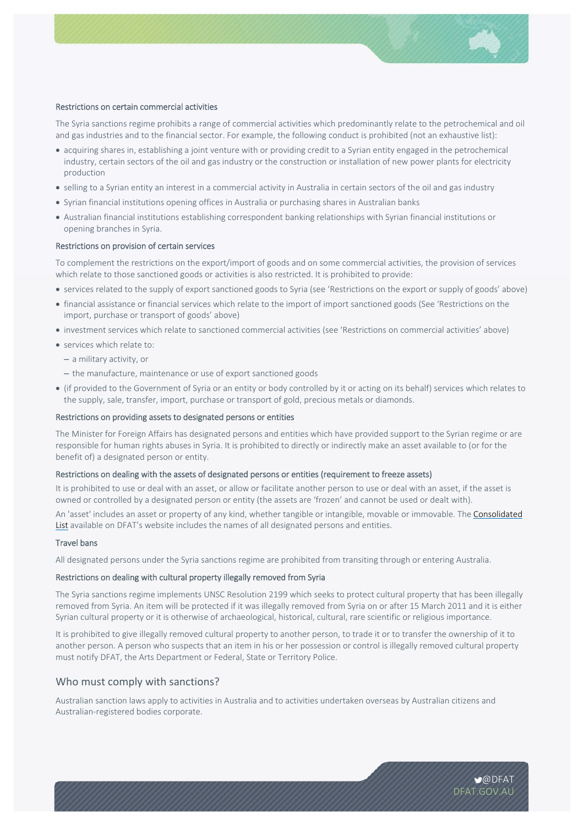

#### Restrictions on certain commercial activities

The Syria sanctions regime prohibits a range of commercial activities which predominantly relate to the petrochemical and oil and gas industries and to the financial sector. For example, the following conduct is prohibited (not an exhaustive list):

- acquiring shares in, establishing a joint venture with or providing credit to a Syrian entity engaged in the petrochemical industry, certain sectors of the oil and gas industry or the construction or installation of new power plants for electricity production
- selling to a Syrian entity an interest in a commercial activity in Australia in certain sectors of the oil and gas industry
- Syrian financial institutions opening offices in Australia or purchasing shares in Australian banks
- Australian financial institutions establishing correspondent banking relationships with Syrian financial institutions or opening branches in Syria.

#### Restrictions on provision of certain services

To complement the restrictions on the export/import of goods and on some commercial activities, the provision of services which relate to those sanctioned goods or activities is also restricted. It is prohibited to provide:

- services related to the supply of export sanctioned goods to Syria (see 'Restrictions on the export or supply of goods' above)
- financial assistance or financial services which relate to the import of import sanctioned goods (See 'Restrictions on the import, purchase or transport of goods' above)
- investment services which relate to sanctioned commercial activities (see 'Restrictions on commercial activities' above)
- services which relate to:
	- a military activity, or
	- the manufacture, maintenance or use of export sanctioned goods
- (if provided to the Government of Syria or an entity or body controlled by it or acting on its behalf) services which relates to the supply, sale, transfer, import, purchase or transport of gold, precious metals or diamonds.

#### Restrictions on providing assets to designated persons or entities

The Minister for Foreign Affairs has designated persons and entities which have provided support to the Syrian regime or are responsible for human rights abuses in Syria. It is prohibited to directly or indirectly make an asset available to (or for the benefit of) a designated person or entity.

#### Restrictions on dealing with the assets of designated persons or entities (requirement to freeze assets)

It is prohibited to use or deal with an asset, or allow or facilitate another person to use or deal with an asset, if the asset is owned or controlled by a designated person or entity (the assets are 'frozen' and cannot be used or dealt with).

An 'asset' includes an asset or property of any kind, whether tangible or intangible, movable or immovable. The Consolidated List available on DFAT's website includes the names of all designated persons and entities.

#### Travel bans

All designated persons under the Syria sanctions regime are prohibited from transiting through or entering Australia.

#### Restrictions on dealing with cultural property illegally removed from Syria

The Syria sanctions regime implements UNSC Resolution 2199 which seeks to protect cultural property that has been illegally removed from Syria. An item will be protected if it was illegally removed from Syria on or after 15 March 2011 and it is either Syrian cultural property or it is otherwise of archaeological, historical, cultural, rare scientific or religious importance.

It is prohibited to give illegally removed cultural property to another person, to trade it or to transfer the ownership of it to another person. A person who suspects that an item in his or her possession or control is illegally removed cultural property must notify DFAT, the Arts Department or Federal, State or Territory Police.

### Who must comply with sanctions?

Australian sanction laws apply to activities in Australia and to activities undertaken overseas by Australian citizens and Australian‐registered bodies corporate.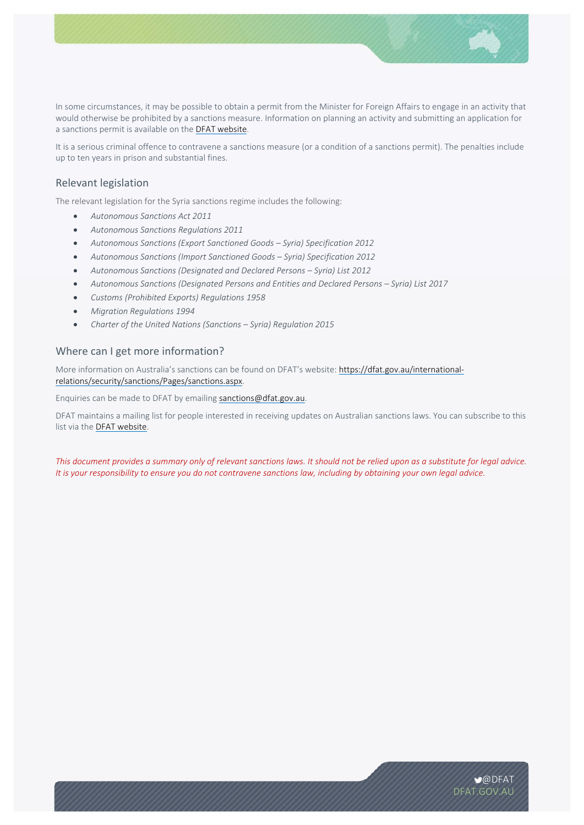

In some circumstances, it may be possible to obtain a permit from the Minister for Foreign Affairs to engage in an activity that would otherwise be prohibited by a sanctions measure. Information on planning an activity and submitting an application for a sanctions permit is available on the DFAT website.

It is a serious criminal offence to contravene a sanctions measure (or a condition of a sanctions permit). The penalties include up to ten years in prison and substantial fines.

# Relevant legislation

The relevant legislation for the Syria sanctions regime includes the following:

- *Autonomous Sanctions Act 2011*
- *Autonomous Sanctions Regulations 2011*
- *Autonomous Sanctions (Export Sanctioned Goods Syria) Specification 2012*
- *Autonomous Sanctions (Import Sanctioned Goods Syria) Specification 2012*
- *Autonomous Sanctions (Designated and Declared Persons Syria) List 2012*
- *Autonomous Sanctions (Designated Persons and Entities and Declared Persons Syria) List 2017*
- *Customs (Prohibited Exports) Regulations 1958*
- *Migration Regulations 1994*
- *Charter of the United Nations (Sanctions Syria) Regulation 2015*

# Where can I get more information?

More information on Australia's sanctions can be found on DFAT's website: https://dfat.gov.au/internationalrelations/security/sanctions/Pages/sanctions.aspx.

Enquiries can be made to DFAT by emailing sanctions@dfat.gov.au.

DFAT maintains a mailing list for people interested in receiving updates on Australian sanctions laws. You can subscribe to this list via the DFAT website.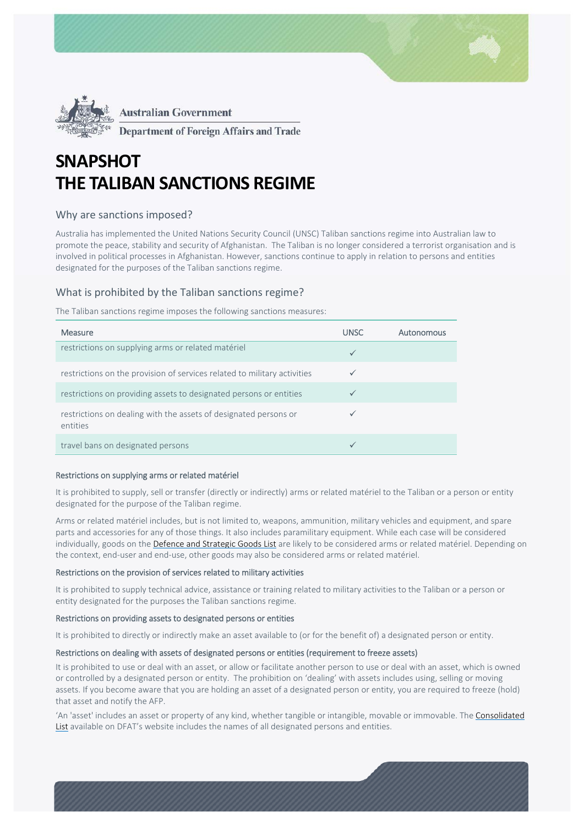

**Department of Foreign Affairs and Trade** 

# **SNAPSHOT THE TALIBAN SANCTIONS REGIME**

# Why are sanctions imposed?

Australia has implemented the United Nations Security Council (UNSC) Taliban sanctions regime into Australian law to promote the peace, stability and security of Afghanistan. The Taliban is no longer considered a terrorist organisation and is involved in political processes in Afghanistan. However, sanctions continue to apply in relation to persons and entities designated for the purposes of the Taliban sanctions regime.

# What is prohibited by the Taliban sanctions regime?

The Taliban sanctions regime imposes the following sanctions measures:

| <b>Measure</b>                                                               | <b>UNSC</b>  | Autonomous |
|------------------------------------------------------------------------------|--------------|------------|
| restrictions on supplying arms or related matériel                           | $\checkmark$ |            |
| restrictions on the provision of services related to military activities     | $\checkmark$ |            |
| restrictions on providing assets to designated persons or entities           |              |            |
| restrictions on dealing with the assets of designated persons or<br>entities |              |            |
| travel bans on designated persons                                            | $\checkmark$ |            |

#### Restrictions on supplying arms or related matériel

It is prohibited to supply, sell or transfer (directly or indirectly) arms or related matériel to the Taliban or a person or entity designated for the purpose of the Taliban regime.

Arms or related matériel includes, but is not limited to, weapons, ammunition, military vehicles and equipment, and spare parts and accessories for any of those things. It also includes paramilitary equipment. While each case will be considered individually, goods on the Defence and Strategic Goods List are likely to be considered arms or related matériel. Depending on the context, end‐user and end‐use, other goods may also be considered arms or related matériel.

#### Restrictions on the provision of services related to military activities

It is prohibited to supply technical advice, assistance or training related to military activities to the Taliban or a person or entity designated for the purposes the Taliban sanctions regime.

#### Restrictions on providing assets to designated persons or entities

It is prohibited to directly or indirectly make an asset available to (or for the benefit of) a designated person or entity.

#### Restrictions on dealing with assets of designated persons or entities (requirement to freeze assets)

It is prohibited to use or deal with an asset, or allow or facilitate another person to use or deal with an asset, which is owned or controlled by a designated person or entity. The prohibition on 'dealing' with assets includes using, selling or moving assets. If you become aware that you are holding an asset of a designated person or entity, you are required to freeze (hold) that asset and notify the AFP.

'An 'asset' includes an asset or property of any kind, whether tangible or intangible, movable or immovable. The Consolidated List available on DFAT's website includes the names of all designated persons and entities.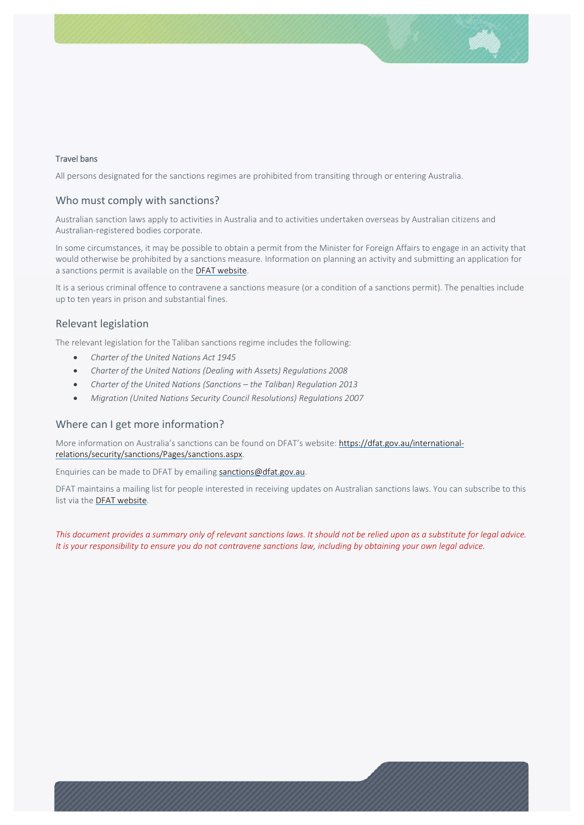### Travel bans

All persons designated for the sanctions regimes are prohibited from transiting through or entering Australia.

## Who must comply with sanctions?

Australian sanction laws apply to activities in Australia and to activities undertaken overseas by Australian citizens and Australian‐registered bodies corporate.

In some circumstances, it may be possible to obtain a permit from the Minister for Foreign Affairs to engage in an activity that would otherwise be prohibited by a sanctions measure. Information on planning an activity and submitting an application for a sanctions permit is available on the DFAT website.

It is a serious criminal offence to contravene a sanctions measure (or a condition of a sanctions permit). The penalties include up to ten years in prison and substantial fines.

## Relevant legislation

The relevant legislation for the Taliban sanctions regime includes the following:

- *Charter of the United Nations Act 1945*
- *Charter of the United Nations (Dealing with Assets) Regulations 2008*
- *Charter of the United Nations (Sanctions the Taliban) Regulation 2013*
- *Migration (United Nations Security Council Resolutions) Regulations 2007*

## Where can I get more information?

More information on Australia's sanctions can be found on DFAT's website: https://dfat.gov.au/internationalrelations/security/sanctions/Pages/sanctions.aspx.

Enquiries can be made to DFAT by emailing sanctions@dfat.gov.au.

DFAT maintains a mailing list for people interested in receiving updates on Australian sanctions laws. You can subscribe to this list via the DFAT website.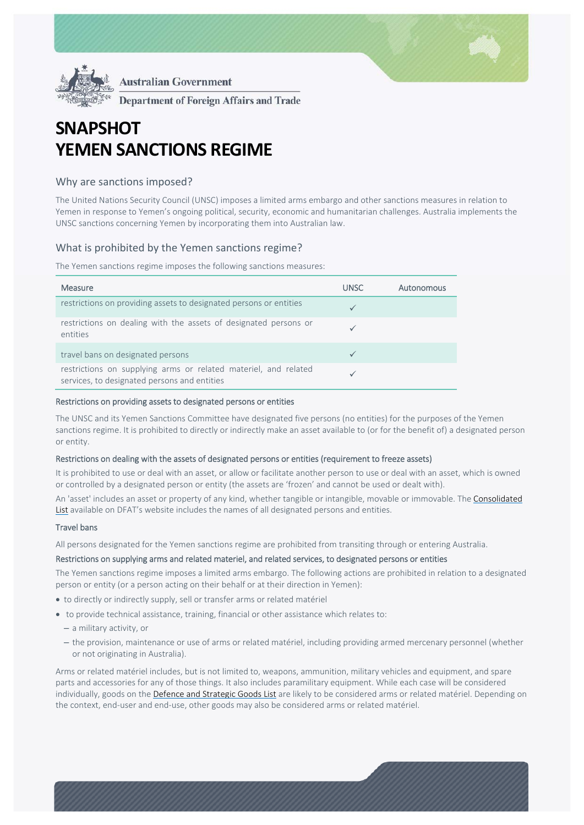

**Department of Foreign Affairs and Trade** 

# **SNAPSHOT YEMEN SANCTIONS REGIME**

## Why are sanctions imposed?

The United Nations Security Council (UNSC) imposes a limited arms embargo and other sanctions measures in relation to Yemen in response to Yemen's ongoing political, security, economic and humanitarian challenges. Australia implements the UNSC sanctions concerning Yemen by incorporating them into Australian law.

## What is prohibited by the Yemen sanctions regime?

The Yemen sanctions regime imposes the following sanctions measures:

| Measure                                                                                                         | UNSC | Autonomous |
|-----------------------------------------------------------------------------------------------------------------|------|------------|
| restrictions on providing assets to designated persons or entities                                              |      |            |
| restrictions on dealing with the assets of designated persons or<br>entities                                    |      |            |
| travel bans on designated persons                                                                               |      |            |
| restrictions on supplying arms or related materiel, and related<br>services, to designated persons and entities |      |            |

#### Restrictions on providing assets to designated persons or entities

The UNSC and its Yemen Sanctions Committee have designated five persons (no entities) for the purposes of the Yemen sanctions regime. It is prohibited to directly or indirectly make an asset available to (or for the benefit of) a designated person or entity.

#### Restrictions on dealing with the assets of designated persons or entities (requirement to freeze assets)

It is prohibited to use or deal with an asset, or allow or facilitate another person to use or deal with an asset, which is owned or controlled by a designated person or entity (the assets are 'frozen' and cannot be used or dealt with).

An 'asset' includes an asset or property of any kind, whether tangible or intangible, movable or immovable. The Consolidated List available on DFAT's website includes the names of all designated persons and entities.

#### Travel bans

All persons designated for the Yemen sanctions regime are prohibited from transiting through or entering Australia.

#### Restrictions on supplying arms and related materiel, and related services, to designated persons or entities

The Yemen sanctions regime imposes a limited arms embargo. The following actions are prohibited in relation to a designated person or entity (or a person acting on their behalf or at their direction in Yemen):

- to directly or indirectly supply, sell or transfer arms or related matériel
- to provide technical assistance, training, financial or other assistance which relates to:
	- a military activity, or
	- the provision, maintenance or use of arms or related matériel, including providing armed mercenary personnel (whether or not originating in Australia).

Arms or related matériel includes, but is not limited to, weapons, ammunition, military vehicles and equipment, and spare parts and accessories for any of those things. It also includes paramilitary equipment. While each case will be considered individually, goods on the Defence and Strategic Goods List are likely to be considered arms or related matériel. Depending on the context, end‐user and end‐use, other goods may also be considered arms or related matériel.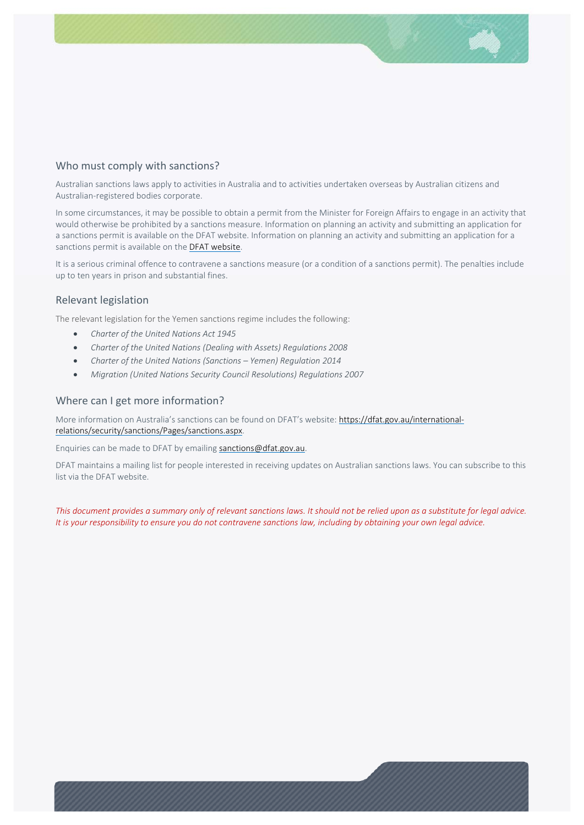# Who must comply with sanctions?

Australian sanctions laws apply to activities in Australia and to activities undertaken overseas by Australian citizens and Australian‐registered bodies corporate.

In some circumstances, it may be possible to obtain a permit from the Minister for Foreign Affairs to engage in an activity that would otherwise be prohibited by a sanctions measure. Information on planning an activity and submitting an application for a sanctions permit is available on the DFAT website. Information on planning an activity and submitting an application for a sanctions permit is available on the DFAT website.

It is a serious criminal offence to contravene a sanctions measure (or a condition of a sanctions permit). The penalties include up to ten years in prison and substantial fines.

# Relevant legislation

The relevant legislation for the Yemen sanctions regime includes the following:

- *Charter of the United Nations Act 1945*
- *Charter of the United Nations (Dealing with Assets) Regulations 2008*
- *Charter of the United Nations (Sanctions Yemen) Regulation 2014*
- *Migration (United Nations Security Council Resolutions) Regulations 2007*

## Where can I get more information?

More information on Australia's sanctions can be found on DFAT's website: https://dfat.gov.au/internationalrelations/security/sanctions/Pages/sanctions.aspx.

Enquiries can be made to DFAT by emailing sanctions@dfat.gov.au.

DFAT maintains a mailing list for people interested in receiving updates on Australian sanctions laws. You can subscribe to this list via the DFAT website.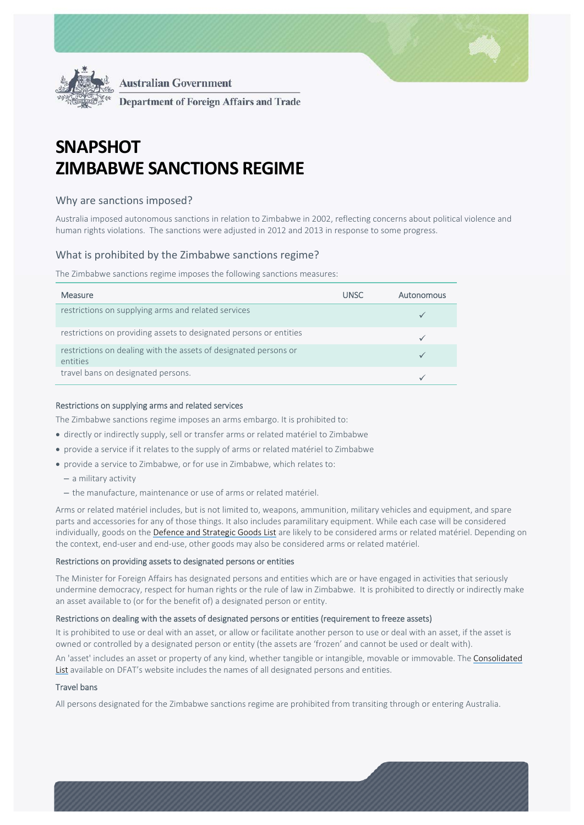

**Australian Government**  $\ddot{\phantom{0}}$ **Department of Foreign Affairs and Trade** 

# **SNAPSHOT ZIMBABWE SANCTIONS REGIME**

# Why are sanctions imposed?

Australia imposed autonomous sanctions in relation to Zimbabwe in 2002, reflecting concerns about political violence and human rights violations. The sanctions were adjusted in 2012 and 2013 in response to some progress.

# What is prohibited by the Zimbabwe sanctions regime?

The Zimbabwe sanctions regime imposes the following sanctions measures:

| Measure                                                                      | <b>UNSC</b> | <b>Autonomous</b> |
|------------------------------------------------------------------------------|-------------|-------------------|
| restrictions on supplying arms and related services                          |             |                   |
| restrictions on providing assets to designated persons or entities           |             |                   |
| restrictions on dealing with the assets of designated persons or<br>entities |             |                   |
| travel bans on designated persons.                                           |             |                   |

### Restrictions on supplying arms and related services

The Zimbabwe sanctions regime imposes an arms embargo. It is prohibited to:

- directly or indirectly supply, sell or transfer arms or related matériel to Zimbabwe
- provide a service if it relates to the supply of arms or related matériel to Zimbabwe
- provide a service to Zimbabwe, or for use in Zimbabwe, which relates to:
	- a military activity
	- the manufacture, maintenance or use of arms or related matériel.

Arms or related matériel includes, but is not limited to, weapons, ammunition, military vehicles and equipment, and spare parts and accessories for any of those things. It also includes paramilitary equipment. While each case will be considered individually, goods on the Defence and Strategic Goods List are likely to be considered arms or related matériel. Depending on the context, end‐user and end‐use, other goods may also be considered arms or related matériel.

## Restrictions on providing assets to designated persons or entities

The Minister for Foreign Affairs has designated persons and entities which are or have engaged in activities that seriously undermine democracy, respect for human rights or the rule of law in Zimbabwe. It is prohibited to directly or indirectly make an asset available to (or for the benefit of) a designated person or entity.

## Restrictions on dealing with the assets of designated persons or entities (requirement to freeze assets)

It is prohibited to use or deal with an asset, or allow or facilitate another person to use or deal with an asset, if the asset is owned or controlled by a designated person or entity (the assets are 'frozen' and cannot be used or dealt with).

An 'asset' includes an asset or property of any kind, whether tangible or intangible, movable or immovable. The Consolidated List available on DFAT's website includes the names of all designated persons and entities.

#### Travel bans

All persons designated for the Zimbabwe sanctions regime are prohibited from transiting through or entering Australia.